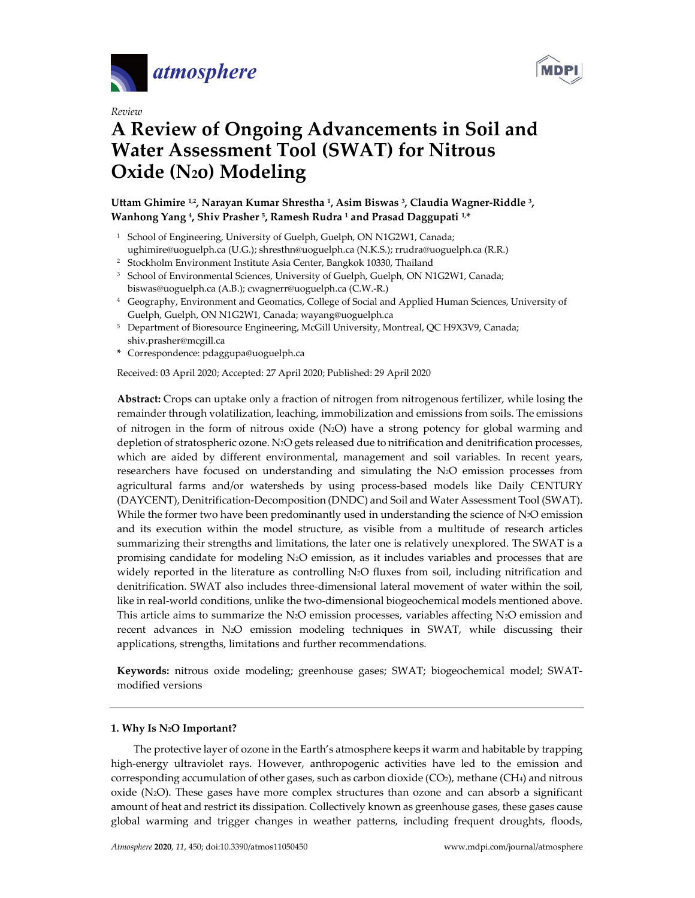





# **A Review of Ongoing Advancements in Soil and Water Assessment Tool (SWAT) for Nitrous Oxide (N2o) Modeling**

## **Uttam Ghimire 1,2, Narayan Kumar Shrestha 1, Asim Biswas 3, Claudia Wagner-Riddle 3, Wanhong Yang 4, Shiv Prasher 5, Ramesh Rudra <sup>1</sup> and Prasad Daggupati 1,\***

- <sup>1</sup> School of Engineering, University of Guelph, Guelph, ON N1G2W1, Canada; ughimire@uoguelph.ca (U.G.); shresthn@uoguelph.ca (N.K.S.); rrudra@uoguelph.ca (R.R.)
- <sup>2</sup> Stockholm Environment Institute Asia Center, Bangkok 10330, Thailand
- <sup>3</sup> School of Environmental Sciences, University of Guelph, Guelph, ON N1G2W1, Canada; biswas@uoguelph.ca (A.B.); cwagnerr@uoguelph.ca (C.W.-R.)
- <sup>4</sup> Geography, Environment and Geomatics, College of Social and Applied Human Sciences, University of Guelph, Guelph, ON N1G2W1, Canada; wayang@uoguelph.ca
- <sup>5</sup> Department of Bioresource Engineering, McGill University, Montreal, QC H9X3V9, Canada; shiv.prasher@mcgill.ca
- **\*** Correspondence: pdaggupa@uoguelph.ca

Received: 03 April 2020; Accepted: 27 April 2020; Published: 29 April 2020

**Abstract:** Crops can uptake only a fraction of nitrogen from nitrogenous fertilizer, while losing the remainder through volatilization, leaching, immobilization and emissions from soils. The emissions of nitrogen in the form of nitrous oxide (N2O) have a strong potency for global warming and depletion of stratospheric ozone. N2O gets released due to nitrification and denitrification processes, which are aided by different environmental, management and soil variables. In recent years, researchers have focused on understanding and simulating the N2O emission processes from agricultural farms and/or watersheds by using process-based models like Daily CENTURY (DAYCENT), Denitrification-Decomposition (DNDC) and Soil and Water Assessment Tool (SWAT). While the former two have been predominantly used in understanding the science of  $N_2O$  emission and its execution within the model structure, as visible from a multitude of research articles summarizing their strengths and limitations, the later one is relatively unexplored. The SWAT is a promising candidate for modeling N2O emission, as it includes variables and processes that are widely reported in the literature as controlling N<sub>2</sub>O fluxes from soil, including nitrification and denitrification. SWAT also includes three-dimensional lateral movement of water within the soil, like in real-world conditions, unlike the two-dimensional biogeochemical models mentioned above. This article aims to summarize the N2O emission processes, variables affecting N2O emission and recent advances in N2O emission modeling techniques in SWAT, while discussing their applications, strengths, limitations and further recommendations.

**Keywords:** nitrous oxide modeling; greenhouse gases; SWAT; biogeochemical model; SWATmodified versions

## **1. Why Is N2O Important?**

The protective layer of ozone in the Earth's atmosphere keeps it warm and habitable by trapping high-energy ultraviolet rays. However, anthropogenic activities have led to the emission and corresponding accumulation of other gases, such as carbon dioxide  $(CO<sub>2</sub>)$ , methane  $(CH<sub>4</sub>)$  and nitrous oxide  $(N_2O)$ . These gases have more complex structures than ozone and can absorb a significant amount of heat and restrict its dissipation. Collectively known as greenhouse gases, these gases cause global warming and trigger changes in weather patterns, including frequent droughts, floods,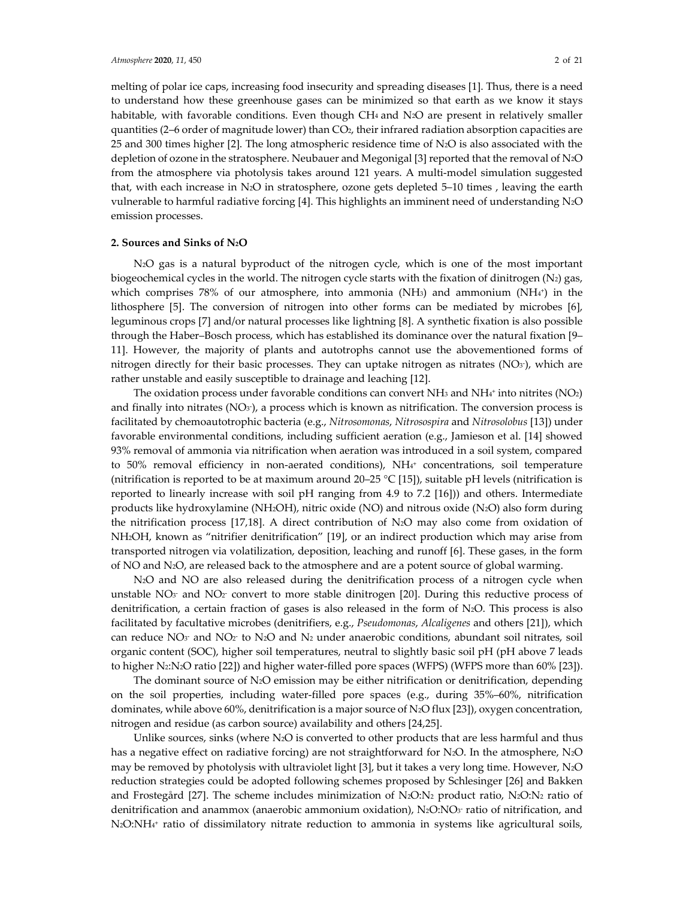melting of polar ice caps, increasing food insecurity and spreading diseases [1]. Thus, there is a need to understand how these greenhouse gases can be minimized so that earth as we know it stays habitable, with favorable conditions. Even though  $CH_4$  and  $N_2O$  are present in relatively smaller quantities (2–6 order of magnitude lower) than CO2, their infrared radiation absorption capacities are 25 and 300 times higher [2]. The long atmospheric residence time of N2O is also associated with the depletion of ozone in the stratosphere. Neubauer and Megonigal [3] reported that the removal of N2O from the atmosphere via photolysis takes around 121 years. A multi-model simulation suggested that, with each increase in N2O in stratosphere, ozone gets depleted 5–10 times , leaving the earth vulnerable to harmful radiative forcing [4]. This highlights an imminent need of understanding N2O emission processes.

#### **2. Sources and Sinks of N2O**

N2O gas is a natural byproduct of the nitrogen cycle, which is one of the most important biogeochemical cycles in the world. The nitrogen cycle starts with the fixation of dinitrogen  $(N_2)$  gas, which comprises 78% of our atmosphere, into ammonia (NH<sub>3</sub>) and ammonium (NH<sub>4<sup>+</sup></sub>) in the lithosphere [5]. The conversion of nitrogen into other forms can be mediated by microbes [6], leguminous crops [7] and/or natural processes like lightning [8]. A synthetic fixation is also possible through the Haber–Bosch process, which has established its dominance over the natural fixation [9– 11]. However, the majority of plants and autotrophs cannot use the abovementioned forms of nitrogen directly for their basic processes. They can uptake nitrogen as nitrates ( $NO<sub>3</sub>$ ), which are rather unstable and easily susceptible to drainage and leaching [12].

The oxidation process under favorable conditions can convert NH<sub>3</sub> and NH<sub>4</sub>+ into nitrites (NO<sub>2</sub>) and finally into nitrates (NO $_{3}$ ), a process which is known as nitrification. The conversion process is facilitated by chemoautotrophic bacteria (e.g., *Nitrosomonas*, *Nitrosospira* and *Nitrosolobus* [13]) under favorable environmental conditions, including sufficient aeration (e.g., Jamieson et al. [14] showed 93% removal of ammonia via nitrification when aeration was introduced in a soil system, compared to 50% removal efficiency in non-aerated conditions),  $NH<sub>4</sub>$  concentrations, soil temperature (nitrification is reported to be at maximum around 20–25 °C [15]), suitable pH levels (nitrification is reported to linearly increase with soil pH ranging from 4.9 to 7.2 [16])) and others. Intermediate products like hydroxylamine (NH2OH), nitric oxide (NO) and nitrous oxide (N2O) also form during the nitrification process  $[17,18]$ . A direct contribution of N<sub>2</sub>O may also come from oxidation of NH2OH, known as "nitrifier denitrification" [19], or an indirect production which may arise from transported nitrogen via volatilization, deposition, leaching and runoff [6]. These gases, in the form of NO and N2O, are released back to the atmosphere and are a potent source of global warming.

N2O and NO are also released during the denitrification process of a nitrogen cycle when unstable  $NO<sub>3</sub>$  and  $NO<sub>2</sub>$  convert to more stable dinitrogen [20]. During this reductive process of denitrification, a certain fraction of gases is also released in the form of  $N_2O$ . This process is also facilitated by facultative microbes (denitrifiers, e.g., *Pseudomonas*, *Alcaligenes* and others [21]), which can reduce  $NO<sub>3</sub>$  and  $NO<sub>2</sub>$  to  $N<sub>2</sub>O$  and  $N<sub>2</sub>$  under anaerobic conditions, abundant soil nitrates, soil organic content (SOC), higher soil temperatures, neutral to slightly basic soil pH (pH above 7 leads to higher N<sub>2</sub>:N<sub>2</sub>O ratio [22]) and higher water-filled pore spaces (WFPS) (WFPS more than 60% [23]).

The dominant source of N2O emission may be either nitrification or denitrification, depending on the soil properties, including water-filled pore spaces (e.g., during 35%–60%, nitrification dominates, while above 60%, denitrification is a major source of N2O flux [23]), oxygen concentration, nitrogen and residue (as carbon source) availability and others [24,25].

Unlike sources, sinks (where  $N_2O$  is converted to other products that are less harmful and thus has a negative effect on radiative forcing) are not straightforward for N<sub>2</sub>O. In the atmosphere, N<sub>2</sub>O may be removed by photolysis with ultraviolet light [3], but it takes a very long time. However, N2O reduction strategies could be adopted following schemes proposed by Schlesinger [26] and Bakken and Frostegård [27]. The scheme includes minimization of  $N_2O:N_2$  product ratio,  $N_2O:N_2$  ratio of denitrification and anammox (anaerobic ammonium oxidation),  $N_2O:NO_3$  ratio of nitrification, and N2O:NH4+ ratio of dissimilatory nitrate reduction to ammonia in systems like agricultural soils,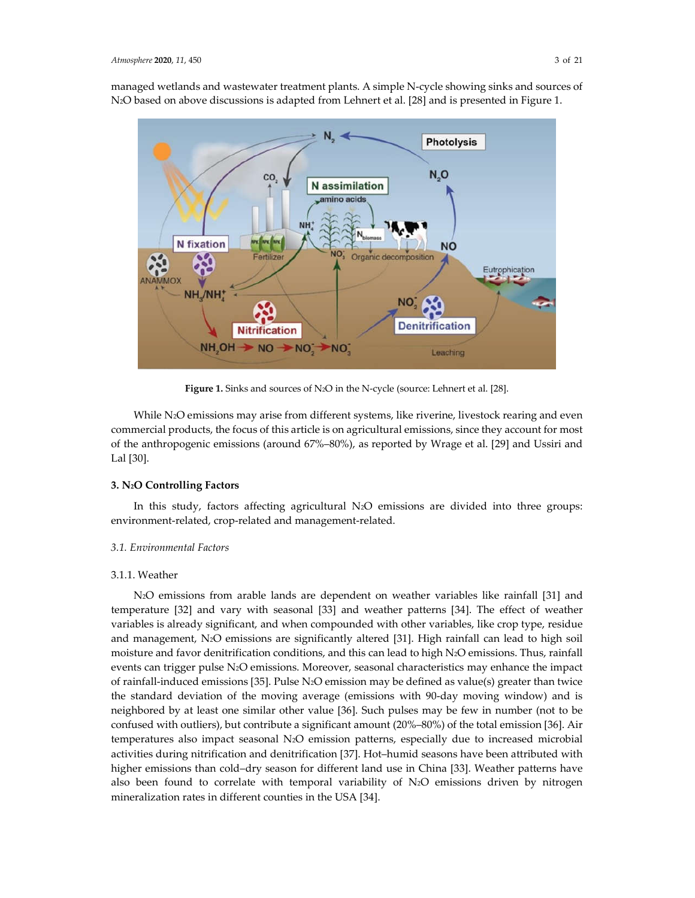managed wetlands and wastewater treatment plants. A simple N-cycle showing sinks and sources of N2O based on above discussions is adapted from Lehnert et al. [28] and is presented in Figure 1.



**Figure 1.** Sinks and sources of N2O in the N-cycle (source: Lehnert et al. [28].

While N<sub>2</sub>O emissions may arise from different systems, like riverine, livestock rearing and even commercial products, the focus of this article is on agricultural emissions, since they account for most of the anthropogenic emissions (around 67%–80%), as reported by Wrage et al. [29] and Ussiri and Lal [30].

## **3. N2O Controlling Factors**

In this study, factors affecting agricultural N2O emissions are divided into three groups: environment-related, crop-related and management-related.

## *3.1. Environmental Factors*

#### 3.1.1. Weather

N2O emissions from arable lands are dependent on weather variables like rainfall [31] and temperature [32] and vary with seasonal [33] and weather patterns [34]. The effect of weather variables is already significant, and when compounded with other variables, like crop type, residue and management, N2O emissions are significantly altered [31]. High rainfall can lead to high soil moisture and favor denitrification conditions, and this can lead to high N2O emissions. Thus, rainfall events can trigger pulse N2O emissions. Moreover, seasonal characteristics may enhance the impact of rainfall-induced emissions [35]. Pulse N2O emission may be defined as value(s) greater than twice the standard deviation of the moving average (emissions with 90-day moving window) and is neighbored by at least one similar other value [36]. Such pulses may be few in number (not to be confused with outliers), but contribute a significant amount (20%–80%) of the total emission [36]. Air temperatures also impact seasonal N2O emission patterns, especially due to increased microbial activities during nitrification and denitrification [37]. Hot–humid seasons have been attributed with higher emissions than cold–dry season for different land use in China [33]. Weather patterns have also been found to correlate with temporal variability of N2O emissions driven by nitrogen mineralization rates in different counties in the USA [34].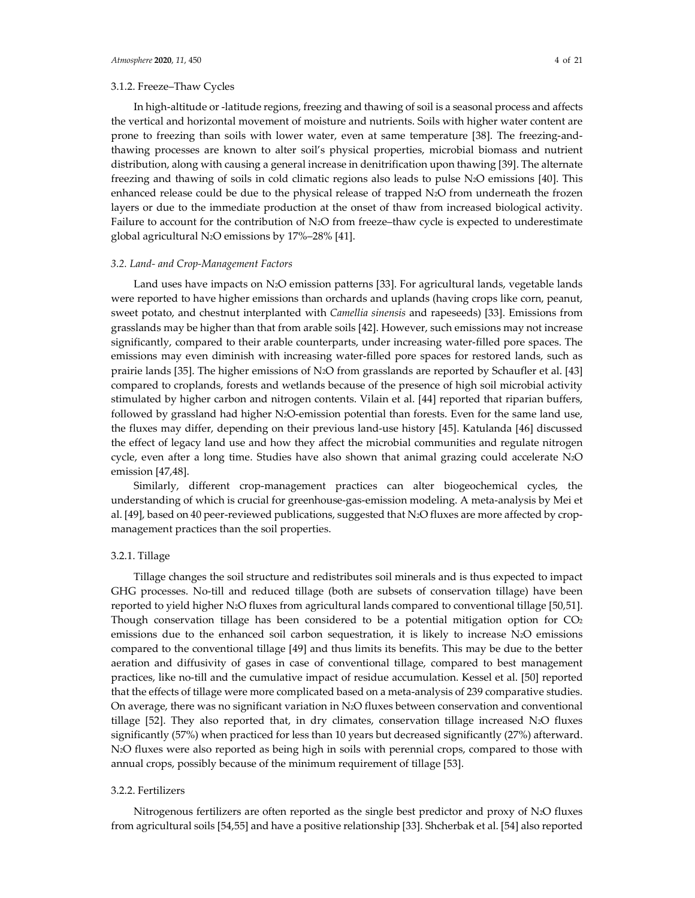## 3.1.2. Freeze–Thaw Cycles

In high-altitude or -latitude regions, freezing and thawing of soil is a seasonal process and affects the vertical and horizontal movement of moisture and nutrients. Soils with higher water content are prone to freezing than soils with lower water, even at same temperature [38]. The freezing-andthawing processes are known to alter soil's physical properties, microbial biomass and nutrient distribution, along with causing a general increase in denitrification upon thawing [39]. The alternate freezing and thawing of soils in cold climatic regions also leads to pulse N2O emissions [40]. This enhanced release could be due to the physical release of trapped N2O from underneath the frozen layers or due to the immediate production at the onset of thaw from increased biological activity. Failure to account for the contribution of N<sub>2</sub>O from freeze–thaw cycle is expected to underestimate global agricultural N2O emissions by 17%–28% [41].

#### *3.2. Land- and Crop-Management Factors*

Land uses have impacts on N2O emission patterns [33]. For agricultural lands, vegetable lands were reported to have higher emissions than orchards and uplands (having crops like corn, peanut, sweet potato, and chestnut interplanted with *Camellia sinensis* and rapeseeds) [33]. Emissions from grasslands may be higher than that from arable soils [42]. However, such emissions may not increase significantly, compared to their arable counterparts, under increasing water-filled pore spaces. The emissions may even diminish with increasing water-filled pore spaces for restored lands, such as prairie lands [35]. The higher emissions of N2O from grasslands are reported by Schaufler et al. [43] compared to croplands, forests and wetlands because of the presence of high soil microbial activity stimulated by higher carbon and nitrogen contents. Vilain et al. [44] reported that riparian buffers, followed by grassland had higher N<sub>2</sub>O-emission potential than forests. Even for the same land use, the fluxes may differ, depending on their previous land-use history [45]. Katulanda [46] discussed the effect of legacy land use and how they affect the microbial communities and regulate nitrogen cycle, even after a long time. Studies have also shown that animal grazing could accelerate  $N_2O$ emission [47,48].

Similarly, different crop-management practices can alter biogeochemical cycles, the understanding of which is crucial for greenhouse-gas-emission modeling. A meta-analysis by Mei et al. [49], based on 40 peer-reviewed publications, suggested that N2O fluxes are more affected by cropmanagement practices than the soil properties.

#### 3.2.1. Tillage

Tillage changes the soil structure and redistributes soil minerals and is thus expected to impact GHG processes. No-till and reduced tillage (both are subsets of conservation tillage) have been reported to yield higher N2O fluxes from agricultural lands compared to conventional tillage [50,51]. Though conservation tillage has been considered to be a potential mitigation option for  $CO<sub>2</sub>$ emissions due to the enhanced soil carbon sequestration, it is likely to increase N2O emissions compared to the conventional tillage [49] and thus limits its benefits. This may be due to the better aeration and diffusivity of gases in case of conventional tillage, compared to best management practices, like no-till and the cumulative impact of residue accumulation. Kessel et al. [50] reported that the effects of tillage were more complicated based on a meta-analysis of 239 comparative studies. On average, there was no significant variation in  $N_2O$  fluxes between conservation and conventional tillage [52]. They also reported that, in dry climates, conservation tillage increased  $N_2O$  fluxes significantly (57%) when practiced for less than 10 years but decreased significantly (27%) afterward. N2O fluxes were also reported as being high in soils with perennial crops, compared to those with annual crops, possibly because of the minimum requirement of tillage [53].

## 3.2.2. Fertilizers

Nitrogenous fertilizers are often reported as the single best predictor and proxy of N2O fluxes from agricultural soils [54,55] and have a positive relationship [33]. Shcherbak et al. [54] also reported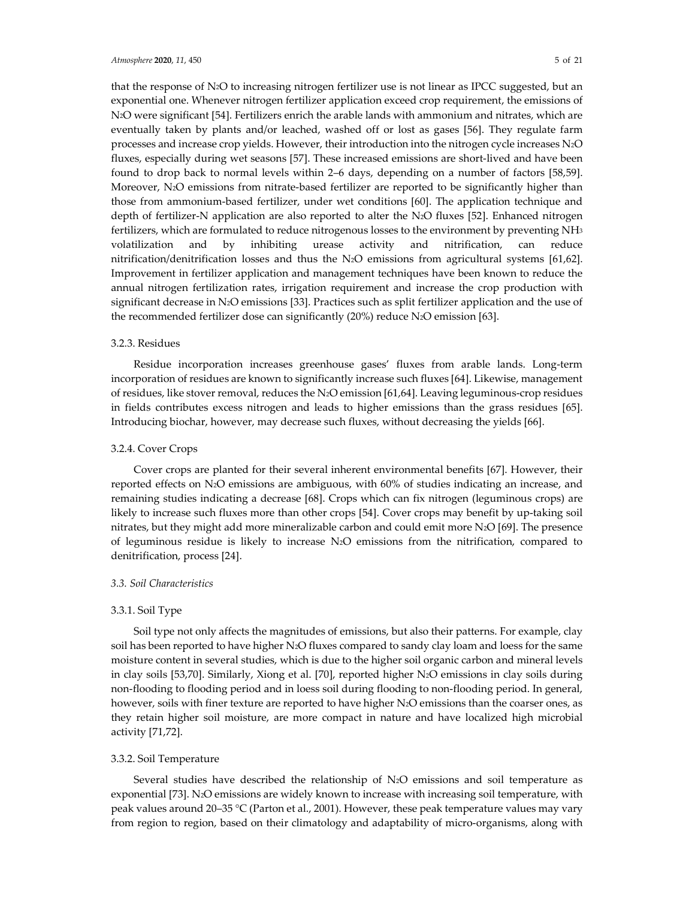that the response of N2O to increasing nitrogen fertilizer use is not linear as IPCC suggested, but an exponential one. Whenever nitrogen fertilizer application exceed crop requirement, the emissions of N2O were significant [54]. Fertilizers enrich the arable lands with ammonium and nitrates, which are eventually taken by plants and/or leached, washed off or lost as gases [56]. They regulate farm processes and increase crop yields. However, their introduction into the nitrogen cycle increases N2O fluxes, especially during wet seasons [57]. These increased emissions are short-lived and have been found to drop back to normal levels within 2–6 days, depending on a number of factors [58,59]. Moreover, N<sub>2</sub>O emissions from nitrate-based fertilizer are reported to be significantly higher than those from ammonium-based fertilizer, under wet conditions [60]. The application technique and depth of fertilizer-N application are also reported to alter the N2O fluxes [52]. Enhanced nitrogen fertilizers, which are formulated to reduce nitrogenous losses to the environment by preventing NH3 volatilization and by inhibiting urease activity and nitrification, can reduce nitrification/denitrification losses and thus the N2O emissions from agricultural systems [61,62]. Improvement in fertilizer application and management techniques have been known to reduce the annual nitrogen fertilization rates, irrigation requirement and increase the crop production with significant decrease in N2O emissions [33]. Practices such as split fertilizer application and the use of the recommended fertilizer dose can significantly (20%) reduce N<sub>2</sub>O emission [63].

## 3.2.3. Residues

Residue incorporation increases greenhouse gases' fluxes from arable lands. Long-term incorporation of residues are known to significantly increase such fluxes [64]. Likewise, management of residues, like stover removal, reduces the N2O emission [61,64]. Leaving leguminous-crop residues in fields contributes excess nitrogen and leads to higher emissions than the grass residues [65]. Introducing biochar, however, may decrease such fluxes, without decreasing the yields [66].

## 3.2.4. Cover Crops

Cover crops are planted for their several inherent environmental benefits [67]. However, their reported effects on N2O emissions are ambiguous, with 60% of studies indicating an increase, and remaining studies indicating a decrease [68]. Crops which can fix nitrogen (leguminous crops) are likely to increase such fluxes more than other crops [54]. Cover crops may benefit by up-taking soil nitrates, but they might add more mineralizable carbon and could emit more N2O [69]. The presence of leguminous residue is likely to increase N2O emissions from the nitrification, compared to denitrification, process [24].

#### *3.3. Soil Characteristics*

#### 3.3.1. Soil Type

Soil type not only affects the magnitudes of emissions, but also their patterns. For example, clay soil has been reported to have higher N2O fluxes compared to sandy clay loam and loess for the same moisture content in several studies, which is due to the higher soil organic carbon and mineral levels in clay soils [53,70]. Similarly, Xiong et al. [70], reported higher N2O emissions in clay soils during non-flooding to flooding period and in loess soil during flooding to non-flooding period. In general, however, soils with finer texture are reported to have higher N2O emissions than the coarser ones, as they retain higher soil moisture, are more compact in nature and have localized high microbial activity [71,72].

#### 3.3.2. Soil Temperature

Several studies have described the relationship of  $N_2O$  emissions and soil temperature as exponential [73]. N2O emissions are widely known to increase with increasing soil temperature, with peak values around 20–35 °C (Parton et al., 2001). However, these peak temperature values may vary from region to region, based on their climatology and adaptability of micro-organisms, along with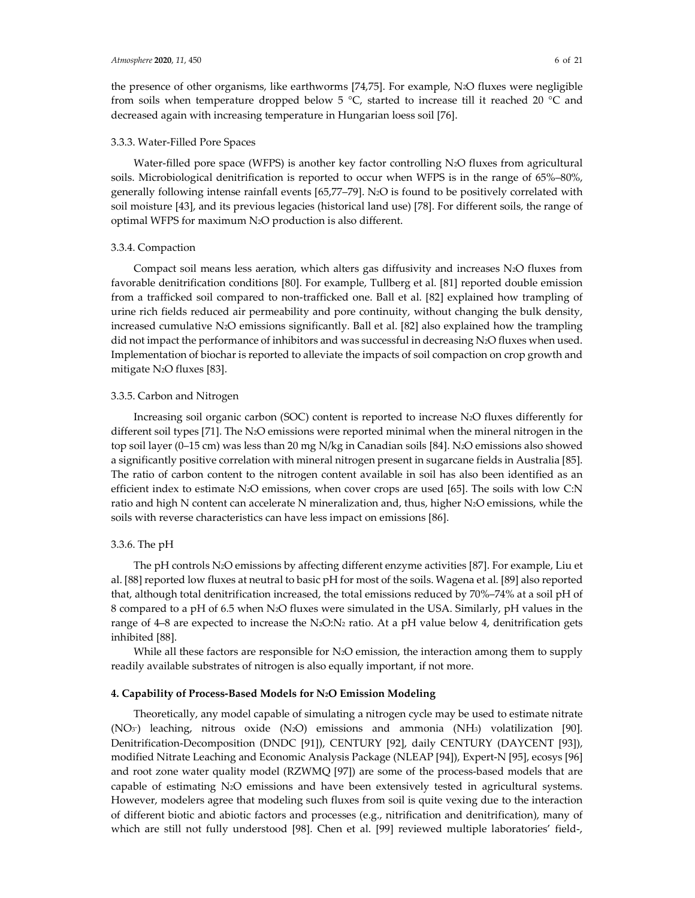the presence of other organisms, like earthworms [74,75]. For example, N2O fluxes were negligible from soils when temperature dropped below 5 °C, started to increase till it reached 20 °C and decreased again with increasing temperature in Hungarian loess soil [76].

#### 3.3.3. Water-Filled Pore Spaces

Water-filled pore space (WFPS) is another key factor controlling N<sub>2</sub>O fluxes from agricultural soils. Microbiological denitrification is reported to occur when WFPS is in the range of 65%–80%, generally following intense rainfall events [65,77–79]. N2O is found to be positively correlated with soil moisture [43], and its previous legacies (historical land use) [78]. For different soils, the range of optimal WFPS for maximum N2O production is also different.

#### 3.3.4. Compaction

Compact soil means less aeration, which alters gas diffusivity and increases  $N_2O$  fluxes from favorable denitrification conditions [80]. For example, Tullberg et al. [81] reported double emission from a trafficked soil compared to non-trafficked one. Ball et al. [82] explained how trampling of urine rich fields reduced air permeability and pore continuity, without changing the bulk density, increased cumulative N2O emissions significantly. Ball et al. [82] also explained how the trampling did not impact the performance of inhibitors and was successful in decreasing N2O fluxes when used. Implementation of biochar is reported to alleviate the impacts of soil compaction on crop growth and mitigate N2O fluxes [83].

#### 3.3.5. Carbon and Nitrogen

Increasing soil organic carbon (SOC) content is reported to increase N2O fluxes differently for different soil types [71]. The N2O emissions were reported minimal when the mineral nitrogen in the top soil layer (0–15 cm) was less than 20 mg N/kg in Canadian soils [84]. N2O emissions also showed a significantly positive correlation with mineral nitrogen present in sugarcane fields in Australia [85]. The ratio of carbon content to the nitrogen content available in soil has also been identified as an efficient index to estimate N2O emissions, when cover crops are used [65]. The soils with low C:N ratio and high N content can accelerate N mineralization and, thus, higher N2O emissions, while the soils with reverse characteristics can have less impact on emissions [86].

#### 3.3.6. The pH

The pH controls N2O emissions by affecting different enzyme activities [87]. For example, Liu et al. [88] reported low fluxes at neutral to basic pH for most of the soils. Wagena et al. [89] also reported that, although total denitrification increased, the total emissions reduced by 70%–74% at a soil pH of 8 compared to a pH of 6.5 when N2O fluxes were simulated in the USA. Similarly, pH values in the range of 4–8 are expected to increase the N2O:N2 ratio. At a pH value below 4, denitrification gets inhibited [88].

While all these factors are responsible for N<sub>2</sub>O emission, the interaction among them to supply readily available substrates of nitrogen is also equally important, if not more.

#### **4. Capability of Process-Based Models for N2O Emission Modeling**

Theoretically, any model capable of simulating a nitrogen cycle may be used to estimate nitrate  $(NO<sub>3</sub>)$  leaching, nitrous oxide  $(N<sub>2</sub>O)$  emissions and ammonia  $(NH<sub>3</sub>)$  volatilization [90]. Denitrification-Decomposition (DNDC [91]), CENTURY [92], daily CENTURY (DAYCENT [93]), modified Nitrate Leaching and Economic Analysis Package (NLEAP [94]), Expert-N [95], ecosys [96] and root zone water quality model (RZWMQ [97]) are some of the process-based models that are capable of estimating N2O emissions and have been extensively tested in agricultural systems. However, modelers agree that modeling such fluxes from soil is quite vexing due to the interaction of different biotic and abiotic factors and processes (e.g., nitrification and denitrification), many of which are still not fully understood [98]. Chen et al. [99] reviewed multiple laboratories' field-,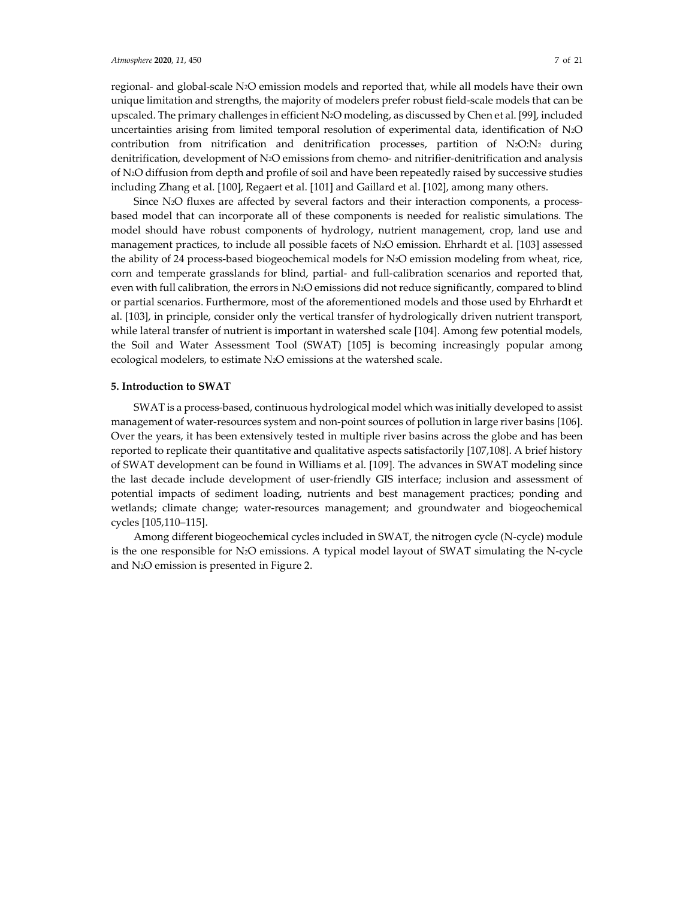regional- and global-scale N2O emission models and reported that, while all models have their own unique limitation and strengths, the majority of modelers prefer robust field-scale models that can be upscaled. The primary challenges in efficient N2O modeling, as discussed by Chen et al. [99], included uncertainties arising from limited temporal resolution of experimental data, identification of N2O contribution from nitrification and denitrification processes, partition of  $N_2O:N_2$  during denitrification, development of N2O emissions from chemo- and nitrifier-denitrification and analysis of N2O diffusion from depth and profile of soil and have been repeatedly raised by successive studies including Zhang et al. [100], Regaert et al. [101] and Gaillard et al. [102], among many others.

Since N<sub>2</sub>O fluxes are affected by several factors and their interaction components, a processbased model that can incorporate all of these components is needed for realistic simulations. The model should have robust components of hydrology, nutrient management, crop, land use and management practices, to include all possible facets of N2O emission. Ehrhardt et al. [103] assessed the ability of 24 process-based biogeochemical models for N2O emission modeling from wheat, rice, corn and temperate grasslands for blind, partial- and full-calibration scenarios and reported that, even with full calibration, the errors in N2O emissions did not reduce significantly, compared to blind or partial scenarios. Furthermore, most of the aforementioned models and those used by Ehrhardt et al. [103], in principle, consider only the vertical transfer of hydrologically driven nutrient transport, while lateral transfer of nutrient is important in watershed scale [104]. Among few potential models, the Soil and Water Assessment Tool (SWAT) [105] is becoming increasingly popular among ecological modelers, to estimate N2O emissions at the watershed scale.

#### **5. Introduction to SWAT**

SWAT is a process-based, continuous hydrological model which was initially developed to assist management of water-resources system and non-point sources of pollution in large river basins [106]. Over the years, it has been extensively tested in multiple river basins across the globe and has been reported to replicate their quantitative and qualitative aspects satisfactorily [107,108]. A brief history of SWAT development can be found in Williams et al. [109]. The advances in SWAT modeling since the last decade include development of user-friendly GIS interface; inclusion and assessment of potential impacts of sediment loading, nutrients and best management practices; ponding and wetlands; climate change; water-resources management; and groundwater and biogeochemical cycles [105,110–115].

Among different biogeochemical cycles included in SWAT, the nitrogen cycle (N-cycle) module is the one responsible for  $N_2O$  emissions. A typical model layout of SWAT simulating the N-cycle and N2O emission is presented in Figure 2.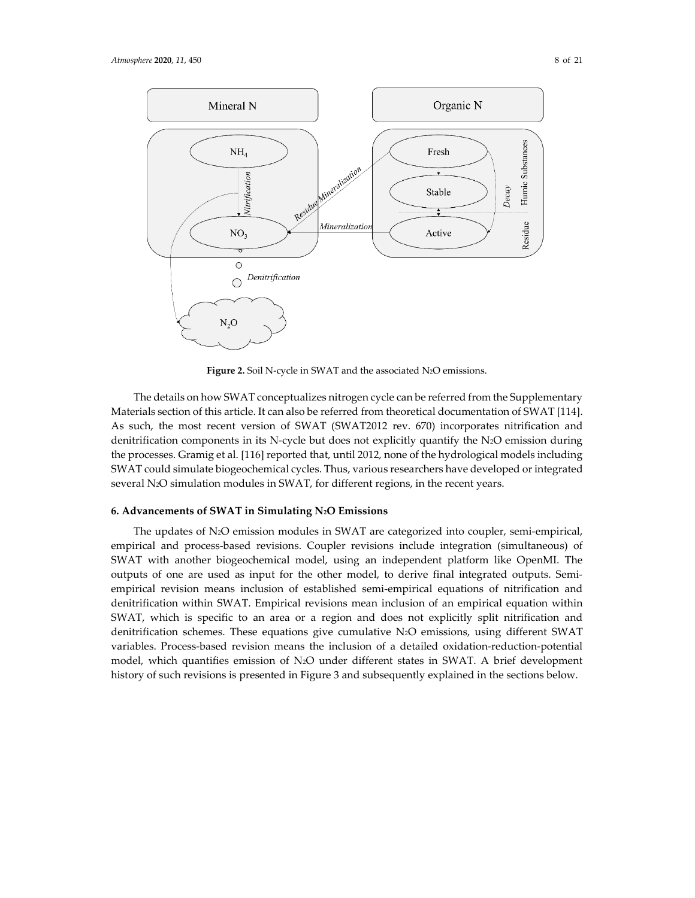

**Figure 2.** Soil N-cycle in SWAT and the associated N2O emissions.

The details on how SWAT conceptualizes nitrogen cycle can be referred from the Supplementary Materials section of this article. It can also be referred from theoretical documentation of SWAT [114]. As such, the most recent version of SWAT (SWAT2012 rev. 670) incorporates nitrification and denitrification components in its N-cycle but does not explicitly quantify the N2O emission during the processes. Gramig et al. [116] reported that, until 2012, none of the hydrological models including SWAT could simulate biogeochemical cycles. Thus, various researchers have developed or integrated several N2O simulation modules in SWAT, for different regions, in the recent years.

## **6. Advancements of SWAT in Simulating N2O Emissions**

The updates of N2O emission modules in SWAT are categorized into coupler, semi-empirical, empirical and process-based revisions. Coupler revisions include integration (simultaneous) of SWAT with another biogeochemical model, using an independent platform like OpenMI. The outputs of one are used as input for the other model, to derive final integrated outputs. Semiempirical revision means inclusion of established semi-empirical equations of nitrification and denitrification within SWAT. Empirical revisions mean inclusion of an empirical equation within SWAT, which is specific to an area or a region and does not explicitly split nitrification and denitrification schemes. These equations give cumulative N2O emissions, using different SWAT variables. Process-based revision means the inclusion of a detailed oxidation-reduction-potential model, which quantifies emission of N2O under different states in SWAT. A brief development history of such revisions is presented in Figure 3 and subsequently explained in the sections below.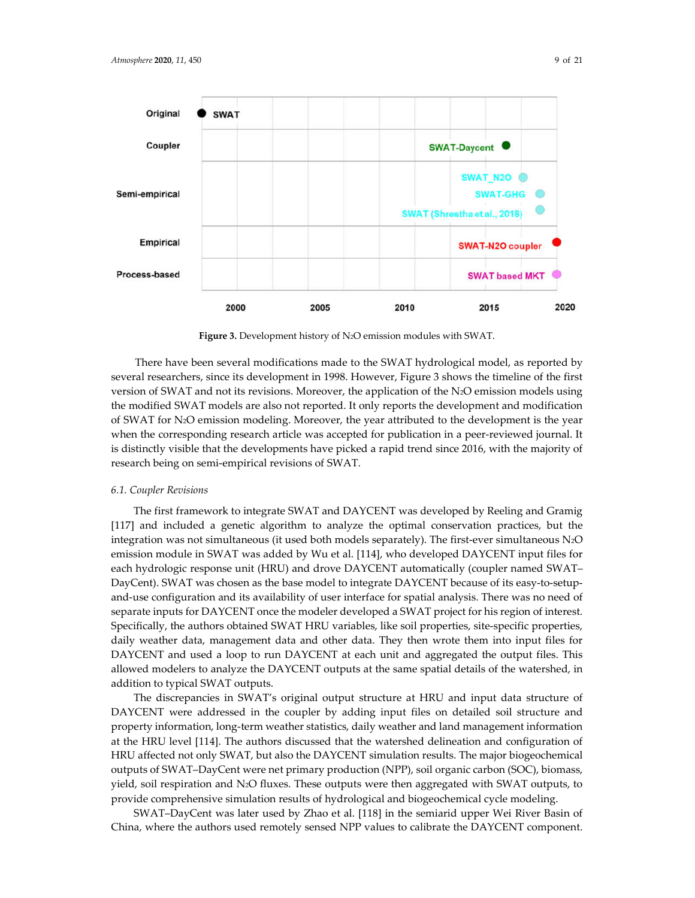

**Figure 3.** Development history of N2O emission modules with SWAT.

There have been several modifications made to the SWAT hydrological model, as reported by several researchers, since its development in 1998. However, Figure 3 shows the timeline of the first version of SWAT and not its revisions. Moreover, the application of the N2O emission models using the modified SWAT models are also not reported. It only reports the development and modification of SWAT for N2O emission modeling. Moreover, the year attributed to the development is the year when the corresponding research article was accepted for publication in a peer-reviewed journal. It is distinctly visible that the developments have picked a rapid trend since 2016, with the majority of research being on semi-empirical revisions of SWAT.

## *6.1. Coupler Revisions*

The first framework to integrate SWAT and DAYCENT was developed by Reeling and Gramig [117] and included a genetic algorithm to analyze the optimal conservation practices, but the integration was not simultaneous (it used both models separately). The first-ever simultaneous N2O emission module in SWAT was added by Wu et al. [114], who developed DAYCENT input files for each hydrologic response unit (HRU) and drove DAYCENT automatically (coupler named SWAT– DayCent). SWAT was chosen as the base model to integrate DAYCENT because of its easy-to-setupand-use configuration and its availability of user interface for spatial analysis. There was no need of separate inputs for DAYCENT once the modeler developed a SWAT project for his region of interest. Specifically, the authors obtained SWAT HRU variables, like soil properties, site-specific properties, daily weather data, management data and other data. They then wrote them into input files for DAYCENT and used a loop to run DAYCENT at each unit and aggregated the output files. This allowed modelers to analyze the DAYCENT outputs at the same spatial details of the watershed, in addition to typical SWAT outputs.

The discrepancies in SWAT's original output structure at HRU and input data structure of DAYCENT were addressed in the coupler by adding input files on detailed soil structure and property information, long-term weather statistics, daily weather and land management information at the HRU level [114]. The authors discussed that the watershed delineation and configuration of HRU affected not only SWAT, but also the DAYCENT simulation results. The major biogeochemical outputs of SWAT–DayCent were net primary production (NPP), soil organic carbon (SOC), biomass, yield, soil respiration and N2O fluxes. These outputs were then aggregated with SWAT outputs, to provide comprehensive simulation results of hydrological and biogeochemical cycle modeling.

SWAT–DayCent was later used by Zhao et al. [118] in the semiarid upper Wei River Basin of China, where the authors used remotely sensed NPP values to calibrate the DAYCENT component.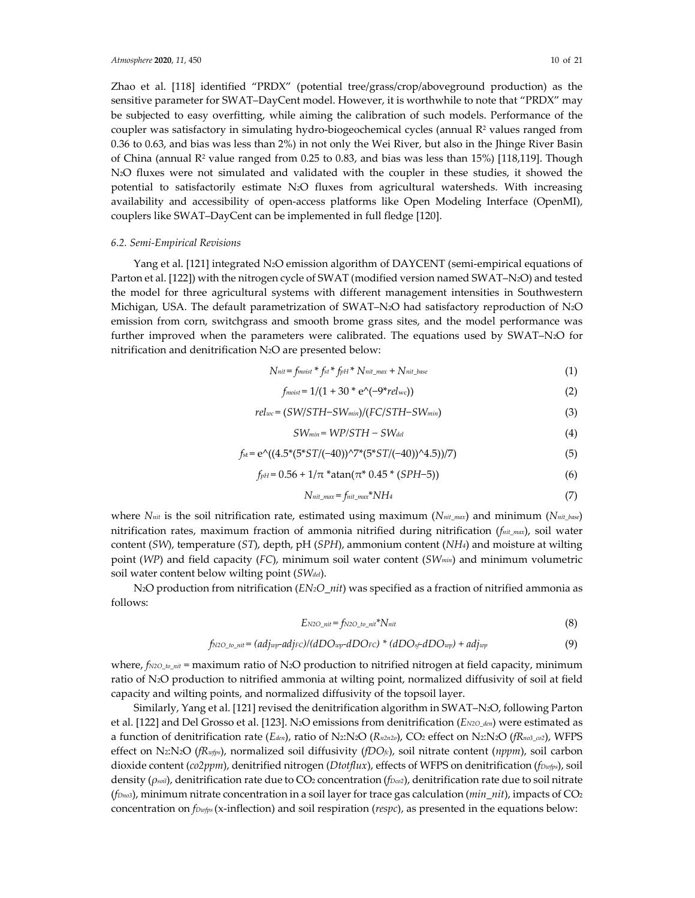Zhao et al. [118] identified "PRDX" (potential tree/grass/crop/aboveground production) as the sensitive parameter for SWAT–DayCent model. However, it is worthwhile to note that "PRDX" may be subjected to easy overfitting, while aiming the calibration of such models. Performance of the coupler was satisfactory in simulating hydro-biogeochemical cycles (annual  $R<sup>2</sup>$  values ranged from 0.36 to 0.63, and bias was less than 2%) in not only the Wei River, but also in the Jhinge River Basin of China (annual  $R^2$  value ranged from 0.25 to 0.83, and bias was less than 15%) [118,119]. Though N2O fluxes were not simulated and validated with the coupler in these studies, it showed the potential to satisfactorily estimate N2O fluxes from agricultural watersheds. With increasing availability and accessibility of open-access platforms like Open Modeling Interface (OpenMI), couplers like SWAT–DayCent can be implemented in full fledge [120].

## *6.2. Semi-Empirical Revisions*

Yang et al. [121] integrated N2O emission algorithm of DAYCENT (semi-empirical equations of Parton et al. [122]) with the nitrogen cycle of SWAT (modified version named SWAT–N2O) and tested the model for three agricultural systems with different management intensities in Southwestern Michigan, USA. The default parametrization of SWAT–N<sub>2</sub>O had satisfactory reproduction of N<sub>2</sub>O emission from corn, switchgrass and smooth brome grass sites, and the model performance was further improved when the parameters were calibrated. The equations used by SWAT–N2O for nitrification and denitrification N2O are presented below:

$$
N_{nit} = f_{moist} * f_{st} * f_{pH} * N_{nit\_max} + N_{nit\_base}
$$
\n
$$
(1)
$$

$$
f_{moist} = 1/(1 + 30 \cdot e^{(-9 \cdot \text{rel}_{wc}))}
$$
 (2)

$$
rel_{wc} = (SW/STH-SW_{min})/(FC/STH-SW_{min})
$$
\n(3)

$$
SW_{min} = WP/STH - SW_{del}
$$
\n(4)

$$
f_{st} = e^{\Lambda}((4.5^*(5^*ST/(-40))^{\Lambda})^*(5^*ST/(-40))^{\Lambda}4.5))/7)
$$
\n(5)

$$
f_{pH} = 0.56 + 1/\pi \cdot \text{atan}(\pi^* \cdot 0.45 \cdot (SPH - 5))
$$
\n<sup>(6)</sup>

$$
N_{\text{nit\_max}} = f_{\text{nit\_max}} * NH_4 \tag{7}
$$

where *Nnit* is the soil nitrification rate, estimated using maximum (*Nnit\_max*) and minimum (*Nnit\_base*) nitrification rates, maximum fraction of ammonia nitrified during nitrification (*fnit\_max*), soil water content (*SW*), temperature (*ST*), depth, pH (*SPH*), ammonium content (*NH4*) and moisture at wilting point (*WP*) and field capacity (*FC*), minimum soil water content (*SWmin*) and minimum volumetric soil water content below wilting point (*SWdel*).

N2O production from nitrification (*EN2O\_nit*) was specified as a fraction of nitrified ammonia as follows:

$$
E_{N2O\_nit} = f_{N2O\_to\_nit} * N_{nit} \tag{8}
$$

$$
f_{N2O\_to\_nit} = (adj_{wp}\text{-}adj_{FC})/(dDO_{wp}\text{-}dDO_{FC}) * (dDO_{sf}dDO_{wp}) + adj_{wp}
$$
\n
$$
(9)
$$

where, *f<sub>N2O\_to\_nit</sub>* = maximum ratio of N<sub>2</sub>O production to nitrified nitrogen at field capacity, minimum ratio of N2O production to nitrified ammonia at wilting point, normalized diffusivity of soil at field capacity and wilting points, and normalized diffusivity of the topsoil layer.

Similarly, Yang et al. [121] revised the denitrification algorithm in SWAT–N2O, following Parton et al. [122] and Del Grosso et al. [123]. N2O emissions from denitrification (*EN2O\_den*) were estimated as a function of denitrification rate (*Eden*), ratio of N2:N2O (*Rn2n2o*), CO2 effect on N2:N2O (*fRno3\_co2*), WFPS effect on N2:N2O (*fRwfps*), normalized soil diffusivity (*fDOfc*), soil nitrate content (*nppm*), soil carbon dioxide content (*co2ppm*), denitrified nitrogen (*Dtotflux*), effects of WFPS on denitrification (*fDwfps*), soil density (*ρsoil*), denitrification rate due to CO2 concentration (*fDco2*), denitrification rate due to soil nitrate (*fDno3*), minimum nitrate concentration in a soil layer for trace gas calculation (*min\_nit*), impacts of CO2 concentration on *fDwfps* (x-inflection) and soil respiration (*respc*), as presented in the equations below: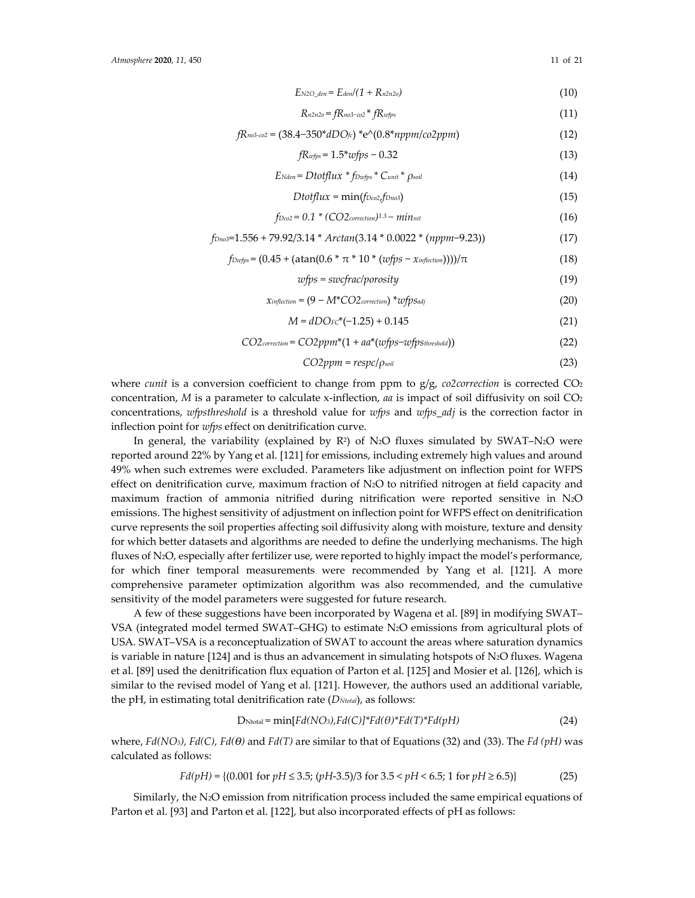$$
E_{N2O\_den} = E_{den}/(1 + R_{n2n2o})\tag{10}
$$

$$
R_{n2n2o} = fR_{no3-co2} * fR_{wfps}
$$
\n
$$
(11)
$$

$$
fR_{no3\text{-}co2} = (38.4 - 350 \cdot dDO_{fc}) \cdot e^{O(0.8 \cdot nppm/co2ppm)}
$$
(12)

$$
fR_{wfps} = 1.5*wfps - 0.32\tag{13}
$$

$$
E_{Nden} = Dtotflux * f_{Dwfps} * C_{unit} * \rho_{soil}
$$
\n(14)

$$
D\text{totflux} = \min(f_{\text{Dco2},f_{\text{Dno3}}}) \tag{15}
$$

$$
f_{Dco2} = 0.1 * (CO2_{correction})^{1.3} - min_{nit}
$$
 (16)

$$
f_{Dno3}=1.556+79.92/3.14*Arctan(3.14*0.0022*(nppm-9.23))
$$
\n(17)

$$
f_{\text{Dwfps}} = (0.45 + (\text{atan}(0.6 * \pi * 10 * (wfps - x_{\text{inflection}}))))/\pi
$$
 (18)

$$
wfps = \textit{succ}(\textit{proosity}) \tag{19}
$$

$$
\chi_{\text{inflection}} = (9 - M^*CO2_{\text{correction}}) * \text{upps}_{\text{adj}} \tag{20}
$$

$$
M = dDO_F c^*(-1.25) + 0.145
$$
 (21)

$$
CO2_{correction} = CO2ppm*(1 + aa*(wfps - wfpst_{hreshold}))
$$
\n(22)

$$
CO2ppm = respc/\rho_{soil} \tag{23}
$$

where *cunit* is a conversion coefficient to change from ppm to g/g, *co2correction* is corrected CO2 concentration, *M* is a parameter to calculate x-inflection, *aa* is impact of soil diffusivity on soil CO<sub>2</sub> concentrations, *wfpsthreshold* is a threshold value for *wfps* and *wfps\_adj* is the correction factor in inflection point for *wfps* effect on denitrification curve.

In general, the variability (explained by  $R^2$ ) of N<sub>2</sub>O fluxes simulated by SWAT–N<sub>2</sub>O were reported around 22% by Yang et al. [121] for emissions, including extremely high values and around 49% when such extremes were excluded. Parameters like adjustment on inflection point for WFPS effect on denitrification curve, maximum fraction of  $N_2O$  to nitrified nitrogen at field capacity and maximum fraction of ammonia nitrified during nitrification were reported sensitive in N2O emissions. The highest sensitivity of adjustment on inflection point for WFPS effect on denitrification curve represents the soil properties affecting soil diffusivity along with moisture, texture and density for which better datasets and algorithms are needed to define the underlying mechanisms. The high fluxes of N2O, especially after fertilizer use, were reported to highly impact the model's performance, for which finer temporal measurements were recommended by Yang et al. [121]. A more comprehensive parameter optimization algorithm was also recommended, and the cumulative sensitivity of the model parameters were suggested for future research.

A few of these suggestions have been incorporated by Wagena et al. [89] in modifying SWAT– VSA (integrated model termed SWAT–GHG) to estimate N2O emissions from agricultural plots of USA. SWAT–VSA is a reconceptualization of SWAT to account the areas where saturation dynamics is variable in nature  $[124]$  and is thus an advancement in simulating hotspots of N<sub>2</sub>O fluxes. Wagena et al. [89] used the denitrification flux equation of Parton et al. [125] and Mosier et al. [126], which is similar to the revised model of Yang et al. [121]. However, the authors used an additional variable, the pH, in estimating total denitrification rate (*DNtotal*), as follows:

$$
D_{\text{Ntotal}} = \min[Fd(NO_3), Fd(C)]^*Fd(\theta)^*Fd(T)^*Fd(pH) \tag{24}
$$

where, *Fd(NO3), Fd(C), Fd(ϴ)* and *Fd(T)* are similar to that of Equations (32) and (33). The *Fd (pH)* was calculated as follows:

$$
Fd(pH) = \{(0.001 \text{ for } pH \le 3.5; (pH-3.5)/3 \text{ for } 3.5 < pH < 6.5; 1 \text{ for } pH \ge 6.5)\}\tag{25}
$$

Similarly, the N2O emission from nitrification process included the same empirical equations of Parton et al. [93] and Parton et al. [122], but also incorporated effects of pH as follows: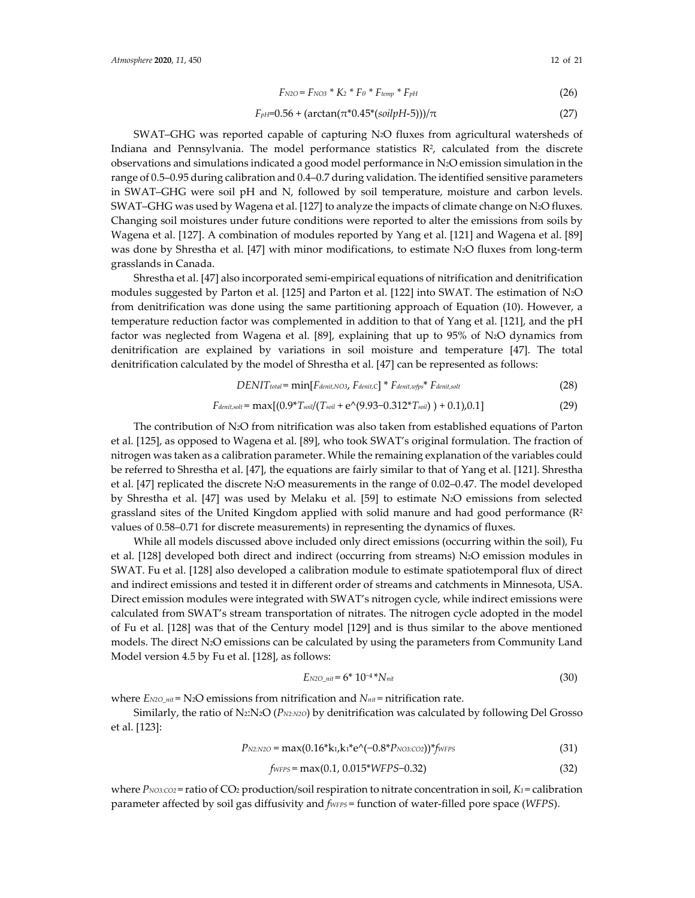$$
F_{N2O} = F_{NO3} * K_2 * F_{\theta} * F_{temp} * F_{pH}
$$
\n(26)

## $F_{pH}$ =0.56 + (arctan( $\pi$ <sup>\*</sup>0.45<sup>\*</sup>(*soilpH*-5)))/ $\pi$  (27)

SWAT–GHG was reported capable of capturing N2O fluxes from agricultural watersheds of Indiana and Pennsylvania. The model performance statistics  $R<sup>2</sup>$ , calculated from the discrete observations and simulations indicated a good model performance in N2O emission simulation in the range of 0.5–0.95 during calibration and 0.4–0.7 during validation. The identified sensitive parameters in SWAT–GHG were soil pH and N, followed by soil temperature, moisture and carbon levels. SWAT–GHG was used by Wagena et al. [127] to analyze the impacts of climate change on N2O fluxes. Changing soil moistures under future conditions were reported to alter the emissions from soils by Wagena et al. [127]. A combination of modules reported by Yang et al. [121] and Wagena et al. [89] was done by Shrestha et al. [47] with minor modifications, to estimate N<sub>2</sub>O fluxes from long-term grasslands in Canada.

Shrestha et al. [47] also incorporated semi-empirical equations of nitrification and denitrification modules suggested by Parton et al. [125] and Parton et al. [122] into SWAT. The estimation of N2O from denitrification was done using the same partitioning approach of Equation (10). However, a temperature reduction factor was complemented in addition to that of Yang et al. [121], and the pH factor was neglected from Wagena et al. [89], explaining that up to 95% of N2O dynamics from denitrification are explained by variations in soil moisture and temperature [47]. The total denitrification calculated by the model of Shrestha et al. [47] can be represented as follows:

$$
DENITtotal = min[Fdent,NO3, Fdent,CD * Fdent,wp* Fdent,solt
$$
 (28)

$$
F_{denit, solt} = \max[(0.9 * T_{soil}/(T_{soil} + e^{0.9.93 - 0.312 * T_{soil}) + 0.1), 0.1]
$$
\n(29)

The contribution of N2O from nitrification was also taken from established equations of Parton et al. [125], as opposed to Wagena et al. [89], who took SWAT's original formulation. The fraction of nitrogen was taken as a calibration parameter. While the remaining explanation of the variables could be referred to Shrestha et al. [47], the equations are fairly similar to that of Yang et al. [121]. Shrestha et al. [47] replicated the discrete N2O measurements in the range of 0.02–0.47. The model developed by Shrestha et al. [47] was used by Melaku et al. [59] to estimate N2O emissions from selected grassland sites of the United Kingdom applied with solid manure and had good performance  $(\mathbb{R}^2)$ values of 0.58–0.71 for discrete measurements) in representing the dynamics of fluxes.

While all models discussed above included only direct emissions (occurring within the soil), Fu et al. [128] developed both direct and indirect (occurring from streams) N2O emission modules in SWAT. Fu et al. [128] also developed a calibration module to estimate spatiotemporal flux of direct and indirect emissions and tested it in different order of streams and catchments in Minnesota, USA. Direct emission modules were integrated with SWAT's nitrogen cycle, while indirect emissions were calculated from SWAT's stream transportation of nitrates. The nitrogen cycle adopted in the model of Fu et al. [128] was that of the Century model [129] and is thus similar to the above mentioned models. The direct N2O emissions can be calculated by using the parameters from Community Land Model version 4.5 by Fu et al. [128], as follows:

$$
E_{N2O\_nit} = 6^* 10^{-4*} N_{nit}
$$
\n(30)

where  $E_{N2O\;nit}$  = N<sub>2</sub>O emissions from nitrification and *N<sub>nit</sub>* = nitrification rate.

Similarly, the ratio of N2:N2O (*PN2:N2O*) by denitrification was calculated by following Del Grosso et al. [123]:

$$
P_{N2:N2O} = \max(0.16* k_1, k_1 * e^{\wedge}(-0.8* P_{NO3:CO2}))^* f_{WFFS}
$$
\n(31)

$$
f_{WFFS} = \max(0.1, 0.015*WFPS-0.32)
$$
\n(32)

where *PNO3:CO2* = ratio of CO<sub>2</sub> production/soil respiration to nitrate concentration in soil, *K<sub>1</sub>* = calibration parameter affected by soil gas diffusivity and *fWFPS* = function of water-filled pore space (*WFPS*).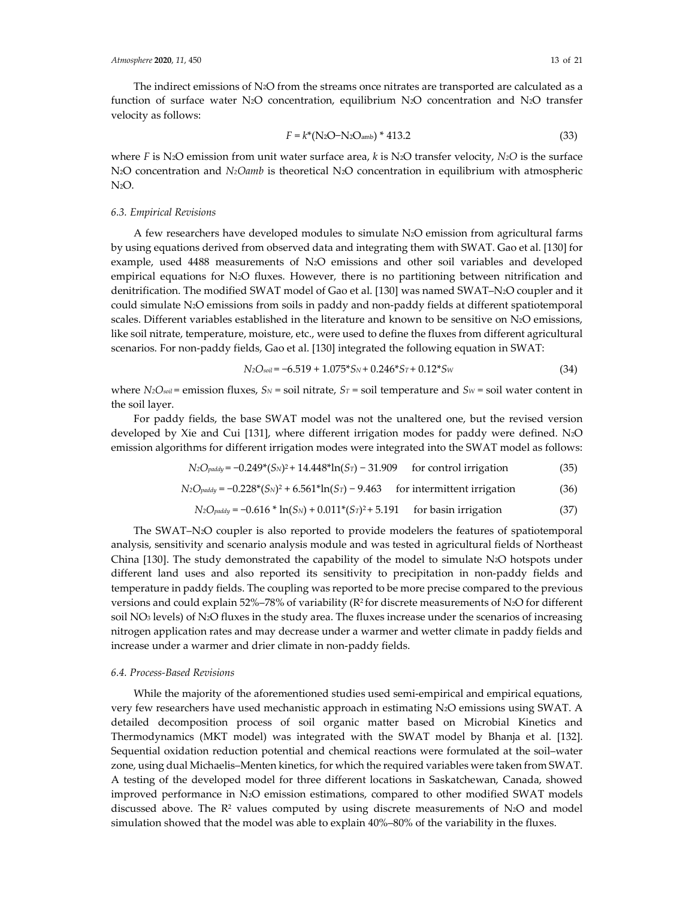The indirect emissions of N2O from the streams once nitrates are transported are calculated as a function of surface water N2O concentration, equilibrium N2O concentration and N2O transfer velocity as follows:

$$
F = k^*(N_2O - N_2O_{amb})^* 413.2
$$
\n(33)

where *F* is N2O emission from unit water surface area, *k* is N2O transfer velocity, *N2O* is the surface N<sub>2</sub>O concentration and *N<sub>2</sub>Oamb* is theoretical N<sub>2</sub>O concentration in equilibrium with atmospheric N2O.

#### *6.3. Empirical Revisions*

A few researchers have developed modules to simulate N2O emission from agricultural farms by using equations derived from observed data and integrating them with SWAT. Gao et al. [130] for example, used 4488 measurements of N2O emissions and other soil variables and developed empirical equations for N2O fluxes. However, there is no partitioning between nitrification and denitrification. The modified SWAT model of Gao et al. [130] was named SWAT–N2O coupler and it could simulate N2O emissions from soils in paddy and non-paddy fields at different spatiotemporal scales. Different variables established in the literature and known to be sensitive on N2O emissions, like soil nitrate, temperature, moisture, etc., were used to define the fluxes from different agricultural scenarios. For non-paddy fields, Gao et al. [130] integrated the following equation in SWAT:

$$
N_2O_{\text{solid}} = -6.519 + 1.075 \cdot S_N + 0.246 \cdot S_T + 0.12 \cdot S_W \tag{34}
$$

where  $N_2O_{\text{solid}}$  = emission fluxes,  $S_N$  = soil nitrate,  $S_T$  = soil temperature and  $S_W$  = soil water content in the soil layer.

For paddy fields, the base SWAT model was not the unaltered one, but the revised version developed by Xie and Cui [131], where different irrigation modes for paddy were defined. N2O emission algorithms for different irrigation modes were integrated into the SWAT model as follows:

$$
N_2O_{\text{paddy}} = -0.249^*(S_N)^2 + 14.448^* \ln(S_T) - 31.909 \quad \text{for control irrigation} \tag{35}
$$

$$
N_2O_{\text{paddy}} = -0.228^*(S_N)^2 + 6.561^* \ln(S_T) - 9.463 \quad \text{for intermittent irradiation} \tag{36}
$$

$$
N_2O_{\text{paddy}} = -0.616 * \ln(S_N) + 0.011 * (S_T)^2 + 5.191 \quad \text{for basin irrational} \tag{37}
$$

The SWAT–N2O coupler is also reported to provide modelers the features of spatiotemporal analysis, sensitivity and scenario analysis module and was tested in agricultural fields of Northeast China  $[130]$ . The study demonstrated the capability of the model to simulate N<sub>2</sub>O hotspots under different land uses and also reported its sensitivity to precipitation in non-paddy fields and temperature in paddy fields. The coupling was reported to be more precise compared to the previous versions and could explain 52%–78% of variability (R<sup>2</sup> for discrete measurements of N2O for different soil NO3 levels) of N2O fluxes in the study area. The fluxes increase under the scenarios of increasing nitrogen application rates and may decrease under a warmer and wetter climate in paddy fields and increase under a warmer and drier climate in non-paddy fields.

#### *6.4. Process-Based Revisions*

While the majority of the aforementioned studies used semi-empirical and empirical equations, very few researchers have used mechanistic approach in estimating N2O emissions using SWAT. A detailed decomposition process of soil organic matter based on Microbial Kinetics and Thermodynamics (MKT model) was integrated with the SWAT model by Bhanja et al. [132]. Sequential oxidation reduction potential and chemical reactions were formulated at the soil–water zone, using dual Michaelis–Menten kinetics, for which the required variables were taken from SWAT. A testing of the developed model for three different locations in Saskatchewan, Canada, showed improved performance in N2O emission estimations, compared to other modified SWAT models discussed above. The  $\mathbb{R}^2$  values computed by using discrete measurements of N2O and model simulation showed that the model was able to explain 40%–80% of the variability in the fluxes.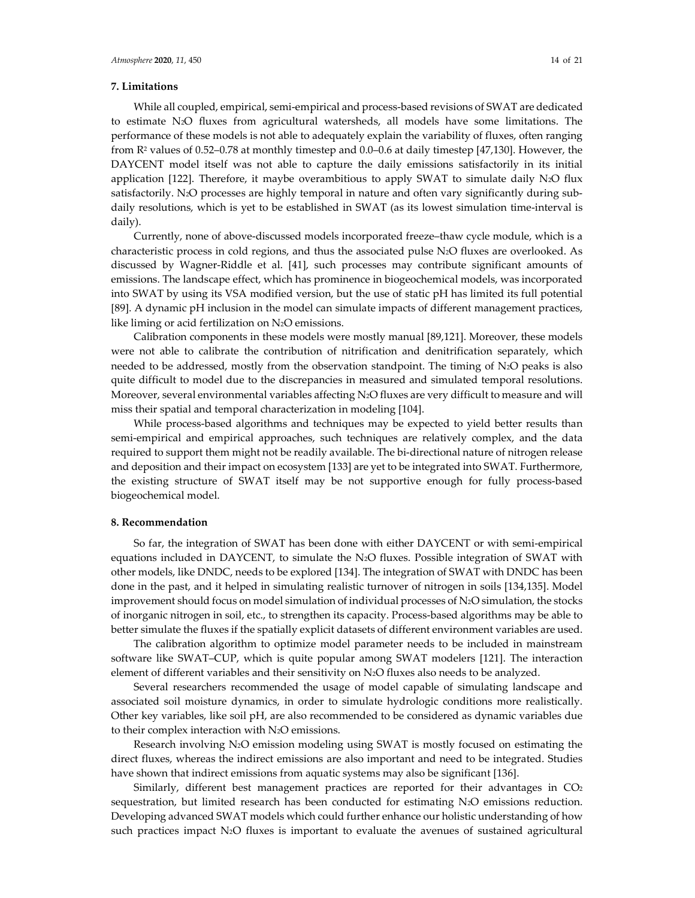## **7. Limitations**

While all coupled, empirical, semi-empirical and process-based revisions of SWAT are dedicated to estimate N2O fluxes from agricultural watersheds, all models have some limitations. The performance of these models is not able to adequately explain the variability of fluxes, often ranging from R2 values of 0.52–0.78 at monthly timestep and 0.0–0.6 at daily timestep [47,130]. However, the DAYCENT model itself was not able to capture the daily emissions satisfactorily in its initial application [122]. Therefore, it maybe overambitious to apply SWAT to simulate daily N2O flux satisfactorily. N<sub>2</sub>O processes are highly temporal in nature and often vary significantly during subdaily resolutions, which is yet to be established in SWAT (as its lowest simulation time-interval is daily).

Currently, none of above-discussed models incorporated freeze–thaw cycle module, which is a characteristic process in cold regions, and thus the associated pulse N2O fluxes are overlooked. As discussed by Wagner-Riddle et al. [41], such processes may contribute significant amounts of emissions. The landscape effect, which has prominence in biogeochemical models, was incorporated into SWAT by using its VSA modified version, but the use of static pH has limited its full potential [89]. A dynamic pH inclusion in the model can simulate impacts of different management practices, like liming or acid fertilization on N2O emissions.

Calibration components in these models were mostly manual [89,121]. Moreover, these models were not able to calibrate the contribution of nitrification and denitrification separately, which needed to be addressed, mostly from the observation standpoint. The timing of N2O peaks is also quite difficult to model due to the discrepancies in measured and simulated temporal resolutions. Moreover, several environmental variables affecting N<sub>2</sub>O fluxes are very difficult to measure and will miss their spatial and temporal characterization in modeling [104].

While process-based algorithms and techniques may be expected to yield better results than semi-empirical and empirical approaches, such techniques are relatively complex, and the data required to support them might not be readily available. The bi-directional nature of nitrogen release and deposition and their impact on ecosystem [133] are yet to be integrated into SWAT. Furthermore, the existing structure of SWAT itself may be not supportive enough for fully process-based biogeochemical model.

## **8. Recommendation**

So far, the integration of SWAT has been done with either DAYCENT or with semi-empirical equations included in DAYCENT, to simulate the N2O fluxes. Possible integration of SWAT with other models, like DNDC, needs to be explored [134]. The integration of SWAT with DNDC has been done in the past, and it helped in simulating realistic turnover of nitrogen in soils [134,135]. Model improvement should focus on model simulation of individual processes of N2O simulation, the stocks of inorganic nitrogen in soil, etc., to strengthen its capacity. Process-based algorithms may be able to better simulate the fluxes if the spatially explicit datasets of different environment variables are used.

The calibration algorithm to optimize model parameter needs to be included in mainstream software like SWAT–CUP, which is quite popular among SWAT modelers [121]. The interaction element of different variables and their sensitivity on N2O fluxes also needs to be analyzed.

Several researchers recommended the usage of model capable of simulating landscape and associated soil moisture dynamics, in order to simulate hydrologic conditions more realistically. Other key variables, like soil pH, are also recommended to be considered as dynamic variables due to their complex interaction with N2O emissions.

Research involving N2O emission modeling using SWAT is mostly focused on estimating the direct fluxes, whereas the indirect emissions are also important and need to be integrated. Studies have shown that indirect emissions from aquatic systems may also be significant [136].

Similarly, different best management practices are reported for their advantages in CO<sub>2</sub> sequestration, but limited research has been conducted for estimating N2O emissions reduction. Developing advanced SWAT models which could further enhance our holistic understanding of how such practices impact N2O fluxes is important to evaluate the avenues of sustained agricultural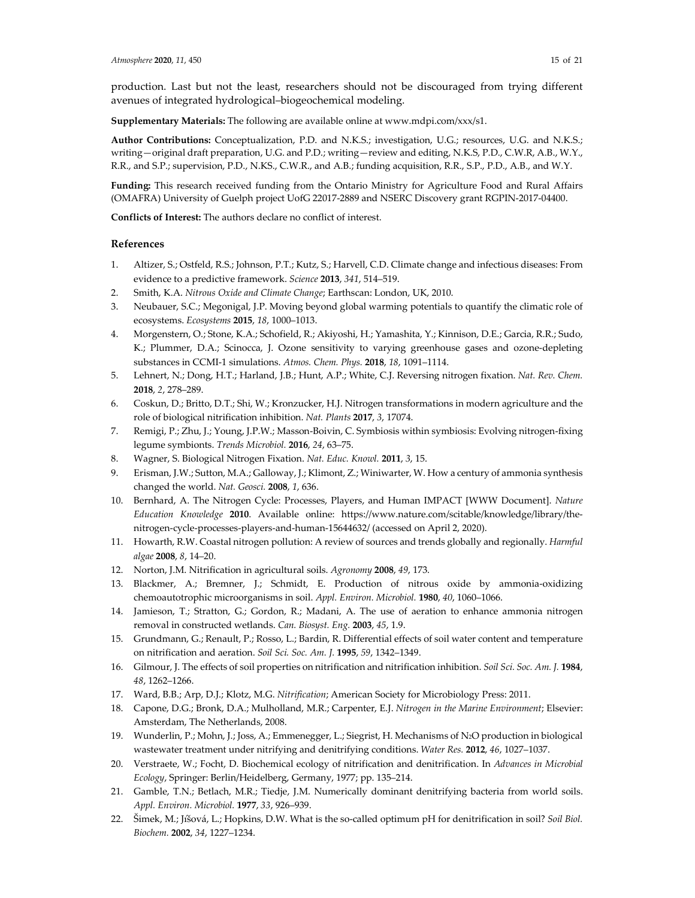production. Last but not the least, researchers should not be discouraged from trying different avenues of integrated hydrological–biogeochemical modeling.

**Supplementary Materials:** The following are available online at www.mdpi.com/xxx/s1.

**Author Contributions:** Conceptualization, P.D. and N.K.S.; investigation, U.G.; resources, U.G. and N.K.S.; writing—original draft preparation, U.G. and P.D.; writing—review and editing, N.K.S, P.D., C.W.R, A.B., W.Y., R.R., and S.P.; supervision, P.D., N.KS., C.W.R., and A.B.; funding acquisition, R.R., S.P., P.D., A.B., and W.Y.

**Funding:** This research received funding from the Ontario Ministry for Agriculture Food and Rural Affairs (OMAFRA) University of Guelph project UofG 22017-2889 and NSERC Discovery grant RGPIN-2017-04400.

**Conflicts of Interest:** The authors declare no conflict of interest.

#### **References**

- 1. Altizer, S.; Ostfeld, R.S.; Johnson, P.T.; Kutz, S.; Harvell, C.D. Climate change and infectious diseases: From evidence to a predictive framework. *Science* **2013**, *341*, 514–519.
- 2. Smith, K.A. *Nitrous Oxide and Climate Change*; Earthscan: London, UK, 2010.
- 3. Neubauer, S.C.; Megonigal, J.P. Moving beyond global warming potentials to quantify the climatic role of ecosystems. *Ecosystems* **2015**, *18*, 1000–1013.
- 4. Morgenstern, O.; Stone, K.A.; Schofield, R.; Akiyoshi, H.; Yamashita, Y.; Kinnison, D.E.; Garcia, R.R.; Sudo, K.; Plummer, D.A.; Scinocca, J. Ozone sensitivity to varying greenhouse gases and ozone-depleting substances in CCMI-1 simulations. *Atmos. Chem. Phys.* **2018**, *18*, 1091–1114.
- 5. Lehnert, N.; Dong, H.T.; Harland, J.B.; Hunt, A.P.; White, C.J. Reversing nitrogen fixation. *Nat. Rev. Chem.*  **2018**, *2*, 278–289.
- 6. Coskun, D.; Britto, D.T.; Shi, W.; Kronzucker, H.J. Nitrogen transformations in modern agriculture and the role of biological nitrification inhibition. *Nat. Plants* **2017**, *3*, 17074.
- 7. Remigi, P.; Zhu, J.; Young, J.P.W.; Masson-Boivin, C. Symbiosis within symbiosis: Evolving nitrogen-fixing legume symbionts. *Trends Microbiol.* **2016**, *24*, 63–75.
- 8. Wagner, S. Biological Nitrogen Fixation. *Nat. Educ. Knowl.* **2011**, *3*, 15.
- 9. Erisman, J.W.; Sutton, M.A.; Galloway, J.; Klimont, Z.; Winiwarter, W. How a century of ammonia synthesis changed the world. *Nat. Geosci.* **2008**, *1*, 636.
- 10. Bernhard, A. The Nitrogen Cycle: Processes, Players, and Human IMPACT [WWW Document]. *Nature Education Knowledge* **2010**. Available online: https://www.nature.com/scitable/knowledge/library/thenitrogen-cycle-processes-players-and-human-15644632/ (accessed on April 2, 2020).
- 11. Howarth, R.W. Coastal nitrogen pollution: A review of sources and trends globally and regionally. *Harmful algae* **2008**, *8*, 14–20.
- 12. Norton, J.M. Nitrification in agricultural soils. *Agronomy* **2008**, *49*, 173.
- 13. Blackmer, A.; Bremner, J.; Schmidt, E. Production of nitrous oxide by ammonia-oxidizing chemoautotrophic microorganisms in soil. *Appl. Environ. Microbiol.* **1980**, *40*, 1060–1066.
- 14. Jamieson, T.; Stratton, G.; Gordon, R.; Madani, A. The use of aeration to enhance ammonia nitrogen removal in constructed wetlands. *Can. Biosyst. Eng.* **2003**, *45*, 1.9.
- 15. Grundmann, G.; Renault, P.; Rosso, L.; Bardin, R. Differential effects of soil water content and temperature on nitrification and aeration. *Soil Sci. Soc. Am. J.* **1995**, *59*, 1342–1349.
- 16. Gilmour, J. The effects of soil properties on nitrification and nitrification inhibition. *Soil Sci. Soc. Am. J.* **1984**, *48*, 1262–1266.
- 17. Ward, B.B.; Arp, D.J.; Klotz, M.G. *Nitrification*; American Society for Microbiology Press: 2011.
- 18. Capone, D.G.; Bronk, D.A.; Mulholland, M.R.; Carpenter, E.J. *Nitrogen in the Marine Environment*; Elsevier: Amsterdam, The Netherlands, 2008.
- 19. Wunderlin, P.; Mohn, J.; Joss, A.; Emmenegger, L.; Siegrist, H. Mechanisms of N2O production in biological wastewater treatment under nitrifying and denitrifying conditions. *Water Res.* **2012**, *46*, 1027–1037.
- 20. Verstraete, W.; Focht, D. Biochemical ecology of nitrification and denitrification. In *Advances in Microbial Ecology*, Springer: Berlin/Heidelberg, Germany, 1977; pp. 135–214.
- 21. Gamble, T.N.; Betlach, M.R.; Tiedje, J.M. Numerically dominant denitrifying bacteria from world soils. *Appl. Environ. Microbiol.* **1977**, *33*, 926–939.
- 22. Šimek, M.; Jı́šová, L.; Hopkins, D.W. What is the so-called optimum pH for denitrification in soil? *Soil Biol. Biochem.* **2002**, *34*, 1227–1234.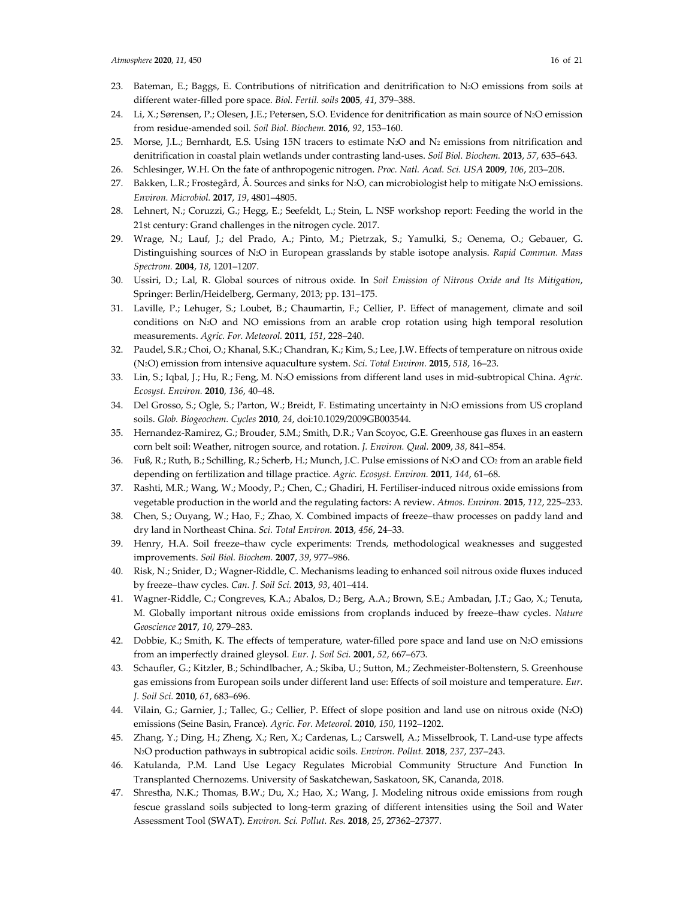- 23. Bateman, E.; Baggs, E. Contributions of nitrification and denitrification to N2O emissions from soils at different water-filled pore space. *Biol. Fertil. soils* **2005**, *41*, 379–388.
- 24. Li, X.; Sørensen, P.; Olesen, J.E.; Petersen, S.O. Evidence for denitrification as main source of N2O emission from residue-amended soil. *Soil Biol. Biochem.* **2016**, *92*, 153–160.
- 25. Morse, J.L.; Bernhardt, E.S. Using 15N tracers to estimate N2O and N2 emissions from nitrification and denitrification in coastal plain wetlands under contrasting land-uses. *Soil Biol. Biochem.* **2013**, *57*, 635–643.
- 26. Schlesinger, W.H. On the fate of anthropogenic nitrogen. *Proc. Natl. Acad. Sci. USA* **2009**, *106*, 203–208.
- 27. Bakken, L.R.; Frostegård, Å. Sources and sinks for N2O, can microbiologist help to mitigate N2O emissions. *Environ. Microbiol.* **2017**, *19*, 4801–4805.
- 28. Lehnert, N.; Coruzzi, G.; Hegg, E.; Seefeldt, L.; Stein, L. NSF workshop report: Feeding the world in the 21st century: Grand challenges in the nitrogen cycle. 2017.
- 29. Wrage, N.; Lauf, J.; del Prado, A.; Pinto, M.; Pietrzak, S.; Yamulki, S.; Oenema, O.; Gebauer, G. Distinguishing sources of N2O in European grasslands by stable isotope analysis. *Rapid Commun. Mass Spectrom.* **2004**, *18*, 1201–1207.
- 30. Ussiri, D.; Lal, R. Global sources of nitrous oxide. In *Soil Emission of Nitrous Oxide and Its Mitigation*, Springer: Berlin/Heidelberg, Germany, 2013; pp. 131–175.
- 31. Laville, P.; Lehuger, S.; Loubet, B.; Chaumartin, F.; Cellier, P. Effect of management, climate and soil conditions on N2O and NO emissions from an arable crop rotation using high temporal resolution measurements. *Agric. For. Meteorol.* **2011**, *151*, 228–240.
- 32. Paudel, S.R.; Choi, O.; Khanal, S.K.; Chandran, K.; Kim, S.; Lee, J.W. Effects of temperature on nitrous oxide (N2O) emission from intensive aquaculture system. *Sci. Total Environ.* **2015**, *518*, 16–23.
- 33. Lin, S.; Iqbal, J.; Hu, R.; Feng, M. N2O emissions from different land uses in mid-subtropical China. *Agric. Ecosyst. Environ.* **2010**, *136*, 40–48.
- 34. Del Grosso, S.; Ogle, S.; Parton, W.; Breidt, F. Estimating uncertainty in N2O emissions from US cropland soils. *Glob. Biogeochem. Cycles* **2010**, *24*, doi:10.1029/2009GB003544.
- 35. Hernandez-Ramirez, G.; Brouder, S.M.; Smith, D.R.; Van Scoyoc, G.E. Greenhouse gas fluxes in an eastern corn belt soil: Weather, nitrogen source, and rotation. *J. Environ. Qual.* **2009**, *38*, 841–854.
- 36. Fuß, R.; Ruth, B.; Schilling, R.; Scherb, H.; Munch, J.C. Pulse emissions of N2O and CO2 from an arable field depending on fertilization and tillage practice. *Agric. Ecosyst. Environ.* **2011**, *144*, 61–68.
- 37. Rashti, M.R.; Wang, W.; Moody, P.; Chen, C.; Ghadiri, H. Fertiliser-induced nitrous oxide emissions from vegetable production in the world and the regulating factors: A review. *Atmos. Environ.* **2015**, *112*, 225–233.
- 38. Chen, S.; Ouyang, W.; Hao, F.; Zhao, X. Combined impacts of freeze–thaw processes on paddy land and dry land in Northeast China. *Sci. Total Environ.* **2013**, *456*, 24–33.
- 39. Henry, H.A. Soil freeze–thaw cycle experiments: Trends, methodological weaknesses and suggested improvements. *Soil Biol. Biochem.* **2007**, *39*, 977–986.
- 40. Risk, N.; Snider, D.; Wagner-Riddle, C. Mechanisms leading to enhanced soil nitrous oxide fluxes induced by freeze–thaw cycles. *Can. J. Soil Sci.* **2013**, *93*, 401–414.
- 41. Wagner-Riddle, C.; Congreves, K.A.; Abalos, D.; Berg, A.A.; Brown, S.E.; Ambadan, J.T.; Gao, X.; Tenuta, M. Globally important nitrous oxide emissions from croplands induced by freeze–thaw cycles. *Nature Geoscience* **2017**, *10*, 279–283.
- 42. Dobbie, K.; Smith, K. The effects of temperature, water-filled pore space and land use on N2O emissions from an imperfectly drained gleysol. *Eur. J. Soil Sci.* **2001**, *52*, 667–673.
- 43. Schaufler, G.; Kitzler, B.; Schindlbacher, A.; Skiba, U.; Sutton, M.; Zechmeister-Boltenstern, S. Greenhouse gas emissions from European soils under different land use: Effects of soil moisture and temperature. *Eur. J. Soil Sci.* **2010**, *61*, 683–696.
- 44. Vilain, G.; Garnier, J.; Tallec, G.; Cellier, P. Effect of slope position and land use on nitrous oxide (N2O) emissions (Seine Basin, France). *Agric. For. Meteorol.* **2010**, *150*, 1192–1202.
- 45. Zhang, Y.; Ding, H.; Zheng, X.; Ren, X.; Cardenas, L.; Carswell, A.; Misselbrook, T. Land-use type affects N2O production pathways in subtropical acidic soils. *Environ. Pollut.* **2018**, *237*, 237–243.
- 46. Katulanda, P.M. Land Use Legacy Regulates Microbial Community Structure And Function In Transplanted Chernozems. University of Saskatchewan, Saskatoon, SK, Cananda, 2018.
- 47. Shrestha, N.K.; Thomas, B.W.; Du, X.; Hao, X.; Wang, J. Modeling nitrous oxide emissions from rough fescue grassland soils subjected to long-term grazing of different intensities using the Soil and Water Assessment Tool (SWAT). *Environ. Sci. Pollut. Res.* **2018**, *25*, 27362–27377.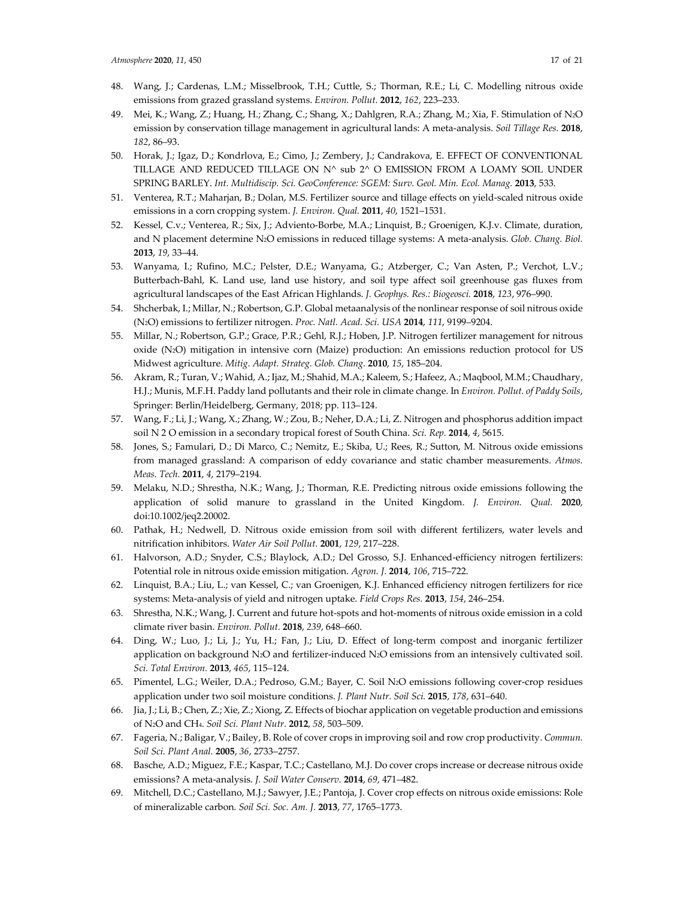- 48. Wang, J.; Cardenas, L.M.; Misselbrook, T.H.; Cuttle, S.; Thorman, R.E.; Li, C. Modelling nitrous oxide emissions from grazed grassland systems. *Environ. Pollut.* **2012**, *162*, 223–233.
- 49. Mei, K.; Wang, Z.; Huang, H.; Zhang, C.; Shang, X.; Dahlgren, R.A.; Zhang, M.; Xia, F. Stimulation of N2O emission by conservation tillage management in agricultural lands: A meta-analysis. *Soil Tillage Res.* **2018**, *182*, 86–93.
- 50. Horak, J.; Igaz, D.; Kondrlova, E.; Cimo, J.; Zembery, J.; Candrakova, E. EFFECT OF CONVENTIONAL TILLAGE AND REDUCED TILLAGE ON N^ sub 2^ O EMISSION FROM A LOAMY SOIL UNDER SPRING BARLEY. *Int. Multidiscip. Sci. GeoConference: SGEM: Surv. Geol. Min. Ecol. Manag.* **2013**, 533.
- 51. Venterea, R.T.; Maharjan, B.; Dolan, M.S. Fertilizer source and tillage effects on yield-scaled nitrous oxide emissions in a corn cropping system. *J. Environ. Qual.* **2011**, *40*, 1521–1531.
- 52. Kessel, C.v.; Venterea, R.; Six, J.; Adviento-Borbe, M.A.; Linquist, B.; Groenigen, K.J.v. Climate, duration, and N placement determine N2O emissions in reduced tillage systems: A meta-analysis. *Glob. Chang. Biol.*  **2013**, *19*, 33–44.
- 53. Wanyama, I.; Rufino, M.C.; Pelster, D.E.; Wanyama, G.; Atzberger, C.; Van Asten, P.; Verchot, L.V.; Butterbach-Bahl, K. Land use, land use history, and soil type affect soil greenhouse gas fluxes from agricultural landscapes of the East African Highlands. *J. Geophys. Res.: Biogeosci.* **2018**, *123*, 976–990.
- 54. Shcherbak, I.; Millar, N.; Robertson, G.P. Global metaanalysis of the nonlinear response of soil nitrous oxide (N2O) emissions to fertilizer nitrogen. *Proc. Natl. Acad. Sci. USA* **2014**, *111*, 9199–9204.
- 55. Millar, N.; Robertson, G.P.; Grace, P.R.; Gehl, R.J.; Hoben, J.P. Nitrogen fertilizer management for nitrous oxide (N2O) mitigation in intensive corn (Maize) production: An emissions reduction protocol for US Midwest agriculture. *Mitig. Adapt. Strateg. Glob. Chang.* **2010**, *15*, 185–204.
- 56. Akram, R.; Turan, V.; Wahid, A.; Ijaz, M.; Shahid, M.A.; Kaleem, S.; Hafeez, A.; Maqbool, M.M.; Chaudhary, H.J.; Munis, M.F.H. Paddy land pollutants and their role in climate change. In *Environ. Pollut. of Paddy Soils*, Springer: Berlin/Heidelberg, Germany, 2018; pp. 113–124.
- 57. Wang, F.; Li, J.; Wang, X.; Zhang, W.; Zou, B.; Neher, D.A.; Li, Z. Nitrogen and phosphorus addition impact soil N 2 O emission in a secondary tropical forest of South China. *Sci. Rep.* **2014**, *4*, 5615.
- 58. Jones, S.; Famulari, D.; Di Marco, C.; Nemitz, E.; Skiba, U.; Rees, R.; Sutton, M. Nitrous oxide emissions from managed grassland: A comparison of eddy covariance and static chamber measurements. *Atmos. Meas. Tech.* **2011**, *4*, 2179–2194.
- 59. Melaku, N.D.; Shrestha, N.K.; Wang, J.; Thorman, R.E. Predicting nitrous oxide emissions following the application of solid manure to grassland in the United Kingdom. *J. Environ. Qual.* **2020**, doi:10.1002/jeq2.20002.
- 60. Pathak, H.; Nedwell, D. Nitrous oxide emission from soil with different fertilizers, water levels and nitrification inhibitors. *Water Air Soil Pollut.* **2001**, *129*, 217–228.
- 61. Halvorson, A.D.; Snyder, C.S.; Blaylock, A.D.; Del Grosso, S.J. Enhanced-efficiency nitrogen fertilizers: Potential role in nitrous oxide emission mitigation. *Agron. J.* **2014**, *106*, 715–722.
- 62. Linquist, B.A.; Liu, L.; van Kessel, C.; van Groenigen, K.J. Enhanced efficiency nitrogen fertilizers for rice systems: Meta-analysis of yield and nitrogen uptake. *Field Crops Res.* **2013**, *154*, 246–254.
- 63. Shrestha, N.K.; Wang, J. Current and future hot-spots and hot-moments of nitrous oxide emission in a cold climate river basin. *Environ. Pollut.* **2018**, *239*, 648–660.
- 64. Ding, W.; Luo, J.; Li, J.; Yu, H.; Fan, J.; Liu, D. Effect of long-term compost and inorganic fertilizer application on background N2O and fertilizer-induced N2O emissions from an intensively cultivated soil. *Sci. Total Environ.* **2013**, *465*, 115–124.
- 65. Pimentel, L.G.; Weiler, D.A.; Pedroso, G.M.; Bayer, C. Soil N2O emissions following cover-crop residues application under two soil moisture conditions. *J. Plant Nutr. Soil Sci.* **2015**, *178*, 631–640.
- 66. Jia, J.; Li, B.; Chen, Z.; Xie, Z.; Xiong, Z. Effects of biochar application on vegetable production and emissions of N2O and CH4. *Soil Sci. Plant Nutr.* **2012**, *58*, 503–509.
- 67. Fageria, N.; Baligar, V.; Bailey, B. Role of cover crops in improving soil and row crop productivity. *Commun. Soil Sci. Plant Anal.* **2005**, *36*, 2733–2757.
- 68. Basche, A.D.; Miguez, F.E.; Kaspar, T.C.; Castellano, M.J. Do cover crops increase or decrease nitrous oxide emissions? A meta-analysis. *J. Soil Water Conserv.* **2014**, *69*, 471–482.
- 69. Mitchell, D.C.; Castellano, M.J.; Sawyer, J.E.; Pantoja, J. Cover crop effects on nitrous oxide emissions: Role of mineralizable carbon. *Soil Sci. Soc. Am. J.* **2013**, *77*, 1765–1773.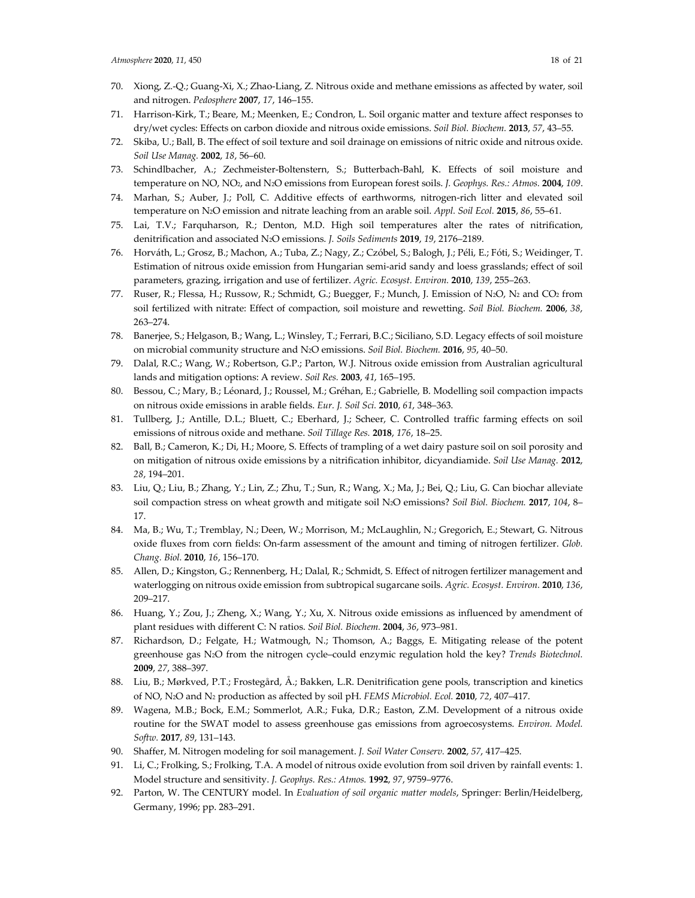- 70. Xiong, Z.-Q.; Guang-Xi, X.; Zhao-Liang, Z. Nitrous oxide and methane emissions as affected by water, soil and nitrogen. *Pedosphere* **2007**, *17*, 146–155.
- 71. Harrison-Kirk, T.; Beare, M.; Meenken, E.; Condron, L. Soil organic matter and texture affect responses to dry/wet cycles: Effects on carbon dioxide and nitrous oxide emissions. *Soil Biol. Biochem.* **2013**, *57*, 43–55.
- 72. Skiba, U.; Ball, B. The effect of soil texture and soil drainage on emissions of nitric oxide and nitrous oxide. *Soil Use Manag.* **2002**, *18*, 56–60.
- 73. Schindlbacher, A.; Zechmeister-Boltenstern, S.; Butterbach-Bahl, K. Effects of soil moisture and temperature on NO, NO2, and N2O emissions from European forest soils. *J. Geophys. Res.: Atmos.* **2004**, *109*.
- 74. Marhan, S.; Auber, J.; Poll, C. Additive effects of earthworms, nitrogen-rich litter and elevated soil temperature on N2O emission and nitrate leaching from an arable soil. *Appl. Soil Ecol.* **2015**, *86*, 55–61.
- 75. Lai, T.V.; Farquharson, R.; Denton, M.D. High soil temperatures alter the rates of nitrification, denitrification and associated N2O emissions. *J. Soils Sediments* **2019**, *19*, 2176–2189.
- 76. Horváth, L.; Grosz, B.; Machon, A.; Tuba, Z.; Nagy, Z.; Czóbel, S.; Balogh, J.; Péli, E.; Fóti, S.; Weidinger, T. Estimation of nitrous oxide emission from Hungarian semi-arid sandy and loess grasslands; effect of soil parameters, grazing, irrigation and use of fertilizer. *Agric. Ecosyst. Environ.* **2010**, *139*, 255–263.
- 77. Ruser, R.; Flessa, H.; Russow, R.; Schmidt, G.; Buegger, F.; Munch, J. Emission of N2O, N2 and CO2 from soil fertilized with nitrate: Effect of compaction, soil moisture and rewetting. *Soil Biol. Biochem.* **2006**, *38*, 263–274.
- 78. Banerjee, S.; Helgason, B.; Wang, L.; Winsley, T.; Ferrari, B.C.; Siciliano, S.D. Legacy effects of soil moisture on microbial community structure and N2O emissions. *Soil Biol. Biochem.* **2016**, *95*, 40–50.
- 79. Dalal, R.C.; Wang, W.; Robertson, G.P.; Parton, W.J. Nitrous oxide emission from Australian agricultural lands and mitigation options: A review. *Soil Res.* **2003**, *41*, 165–195.
- 80. Bessou, C.; Mary, B.; Léonard, J.; Roussel, M.; Gréhan, E.; Gabrielle, B. Modelling soil compaction impacts on nitrous oxide emissions in arable fields. *Eur. J. Soil Sci.* **2010**, *61*, 348–363.
- 81. Tullberg, J.; Antille, D.L.; Bluett, C.; Eberhard, J.; Scheer, C. Controlled traffic farming effects on soil emissions of nitrous oxide and methane. *Soil Tillage Res.* **2018**, *176*, 18–25.
- 82. Ball, B.; Cameron, K.; Di, H.; Moore, S. Effects of trampling of a wet dairy pasture soil on soil porosity and on mitigation of nitrous oxide emissions by a nitrification inhibitor, dicyandiamide. *Soil Use Manag.* **2012**, *28*, 194–201.
- 83. Liu, Q.; Liu, B.; Zhang, Y.; Lin, Z.; Zhu, T.; Sun, R.; Wang, X.; Ma, J.; Bei, Q.; Liu, G. Can biochar alleviate soil compaction stress on wheat growth and mitigate soil N2O emissions? *Soil Biol. Biochem.* **2017**, *104*, 8– 17.
- 84. Ma, B.; Wu, T.; Tremblay, N.; Deen, W.; Morrison, M.; McLaughlin, N.; Gregorich, E.; Stewart, G. Nitrous oxide fluxes from corn fields: On-farm assessment of the amount and timing of nitrogen fertilizer. *Glob. Chang. Biol.* **2010**, *16*, 156–170.
- 85. Allen, D.; Kingston, G.; Rennenberg, H.; Dalal, R.; Schmidt, S. Effect of nitrogen fertilizer management and waterlogging on nitrous oxide emission from subtropical sugarcane soils. *Agric. Ecosyst. Environ.* **2010**, *136*, 209–217.
- 86. Huang, Y.; Zou, J.; Zheng, X.; Wang, Y.; Xu, X. Nitrous oxide emissions as influenced by amendment of plant residues with different C: N ratios. *Soil Biol. Biochem.* **2004**, *36*, 973–981.
- 87. Richardson, D.; Felgate, H.; Watmough, N.; Thomson, A.; Baggs, E. Mitigating release of the potent greenhouse gas N2O from the nitrogen cycle–could enzymic regulation hold the key? *Trends Biotechnol.*  **2009**, *27*, 388–397.
- 88. Liu, B.; Mørkved, P.T.; Frostegård, Å.; Bakken, L.R. Denitrification gene pools, transcription and kinetics of NO, N2O and N2 production as affected by soil pH. *FEMS Microbiol. Ecol.* **2010**, *72*, 407–417.
- 89. Wagena, M.B.; Bock, E.M.; Sommerlot, A.R.; Fuka, D.R.; Easton, Z.M. Development of a nitrous oxide routine for the SWAT model to assess greenhouse gas emissions from agroecosystems. *Environ. Model. Softw.* **2017**, *89*, 131–143.
- 90. Shaffer, M. Nitrogen modeling for soil management. *J. Soil Water Conserv.* **2002**, *57*, 417–425.
- 91. Li, C.; Frolking, S.; Frolking, T.A. A model of nitrous oxide evolution from soil driven by rainfall events: 1. Model structure and sensitivity. *J. Geophys. Res.: Atmos.* **1992**, *97*, 9759–9776.
- 92. Parton, W. The CENTURY model. In *Evaluation of soil organic matter models*, Springer: Berlin/Heidelberg, Germany, 1996; pp. 283–291.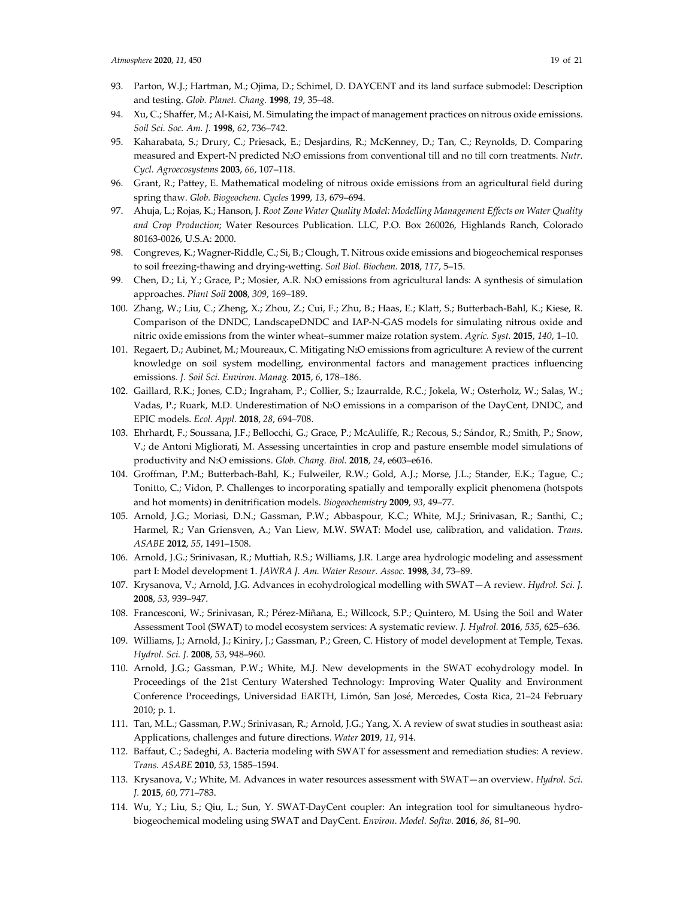- 93. Parton, W.J.; Hartman, M.; Ojima, D.; Schimel, D. DAYCENT and its land surface submodel: Description and testing. *Glob. Planet. Chang.* **1998**, *19*, 35–48.
- 94. Xu, C.; Shaffer, M.; Al-Kaisi, M. Simulating the impact of management practices on nitrous oxide emissions. *Soil Sci. Soc. Am. J.* **1998**, *62*, 736–742.
- 95. Kaharabata, S.; Drury, C.; Priesack, E.; Desjardins, R.; McKenney, D.; Tan, C.; Reynolds, D. Comparing measured and Expert-N predicted N2O emissions from conventional till and no till corn treatments. *Nutr. Cycl. Agroecosystems* **2003**, *66*, 107–118.
- 96. Grant, R.; Pattey, E. Mathematical modeling of nitrous oxide emissions from an agricultural field during spring thaw. *Glob. Biogeochem. Cycles* **1999**, *13*, 679–694.
- 97. Ahuja, L.; Rojas, K.; Hanson, J. *Root Zone Water Quality Model: Modelling Management Effects on Water Quality and Crop Production*; Water Resources Publication. LLC, P.O. Box 260026, Highlands Ranch, Colorado 80163-0026, U.S.A: 2000.
- 98. Congreves, K.; Wagner-Riddle, C.; Si, B.; Clough, T. Nitrous oxide emissions and biogeochemical responses to soil freezing-thawing and drying-wetting. *Soil Biol. Biochem.* **2018**, *117*, 5–15.
- 99. Chen, D.; Li, Y.; Grace, P.; Mosier, A.R. N2O emissions from agricultural lands: A synthesis of simulation approaches. *Plant Soil* **2008**, *309*, 169–189.
- 100. Zhang, W.; Liu, C.; Zheng, X.; Zhou, Z.; Cui, F.; Zhu, B.; Haas, E.; Klatt, S.; Butterbach-Bahl, K.; Kiese, R. Comparison of the DNDC, LandscapeDNDC and IAP-N-GAS models for simulating nitrous oxide and nitric oxide emissions from the winter wheat–summer maize rotation system. *Agric. Syst.* **2015**, *140*, 1–10.
- 101. Regaert, D.; Aubinet, M.; Moureaux, C. Mitigating N2O emissions from agriculture: A review of the current knowledge on soil system modelling, environmental factors and management practices influencing emissions. *J. Soil Sci. Environ. Manag.* **2015**, *6*, 178–186.
- 102. Gaillard, R.K.; Jones, C.D.; Ingraham, P.; Collier, S.; Izaurralde, R.C.; Jokela, W.; Osterholz, W.; Salas, W.; Vadas, P.; Ruark, M.D. Underestimation of N2O emissions in a comparison of the DayCent, DNDC, and EPIC models. *Ecol. Appl.* **2018**, *28*, 694–708.
- 103. Ehrhardt, F.; Soussana, J.F.; Bellocchi, G.; Grace, P.; McAuliffe, R.; Recous, S.; Sándor, R.; Smith, P.; Snow, V.; de Antoni Migliorati, M. Assessing uncertainties in crop and pasture ensemble model simulations of productivity and N2O emissions. *Glob. Chang. Biol.* **2018**, *24*, e603–e616.
- 104. Groffman, P.M.; Butterbach-Bahl, K.; Fulweiler, R.W.; Gold, A.J.; Morse, J.L.; Stander, E.K.; Tague, C.; Tonitto, C.; Vidon, P. Challenges to incorporating spatially and temporally explicit phenomena (hotspots and hot moments) in denitrification models. *Biogeochemistry* **2009**, *93*, 49–77.
- 105. Arnold, J.G.; Moriasi, D.N.; Gassman, P.W.; Abbaspour, K.C.; White, M.J.; Srinivasan, R.; Santhi, C.; Harmel, R.; Van Griensven, A.; Van Liew, M.W. SWAT: Model use, calibration, and validation. *Trans. ASABE* **2012**, *55*, 1491–1508.
- 106. Arnold, J.G.; Srinivasan, R.; Muttiah, R.S.; Williams, J.R. Large area hydrologic modeling and assessment part I: Model development 1. *JAWRA J. Am. Water Resour. Assoc.* **1998**, *34*, 73–89.
- 107. Krysanova, V.; Arnold, J.G. Advances in ecohydrological modelling with SWAT—A review. *Hydrol. Sci. J.*  **2008**, *53*, 939–947.
- 108. Francesconi, W.; Srinivasan, R.; Pérez-Miñana, E.; Willcock, S.P.; Quintero, M. Using the Soil and Water Assessment Tool (SWAT) to model ecosystem services: A systematic review. *J. Hydrol.* **2016**, *535*, 625–636.
- 109. Williams, J.; Arnold, J.; Kiniry, J.; Gassman, P.; Green, C. History of model development at Temple, Texas. *Hydrol. Sci. J.* **2008**, *53*, 948–960.
- 110. Arnold, J.G.; Gassman, P.W.; White, M.J. New developments in the SWAT ecohydrology model. In Proceedings of the 21st Century Watershed Technology: Improving Water Quality and Environment Conference Proceedings, Universidad EARTH, Limón, San José, Mercedes, Costa Rica, 21–24 February 2010; p. 1.
- 111. Tan, M.L.; Gassman, P.W.; Srinivasan, R.; Arnold, J.G.; Yang, X. A review of swat studies in southeast asia: Applications, challenges and future directions. *Water* **2019**, *11*, 914.
- 112. Baffaut, C.; Sadeghi, A. Bacteria modeling with SWAT for assessment and remediation studies: A review. *Trans. ASABE* **2010**, *53*, 1585–1594.
- 113. Krysanova, V.; White, M. Advances in water resources assessment with SWAT—an overview. *Hydrol. Sci. J.* **2015**, *60*, 771–783.
- 114. Wu, Y.; Liu, S.; Qiu, L.; Sun, Y. SWAT-DayCent coupler: An integration tool for simultaneous hydrobiogeochemical modeling using SWAT and DayCent. *Environ. Model. Softw.* **2016**, *86*, 81–90.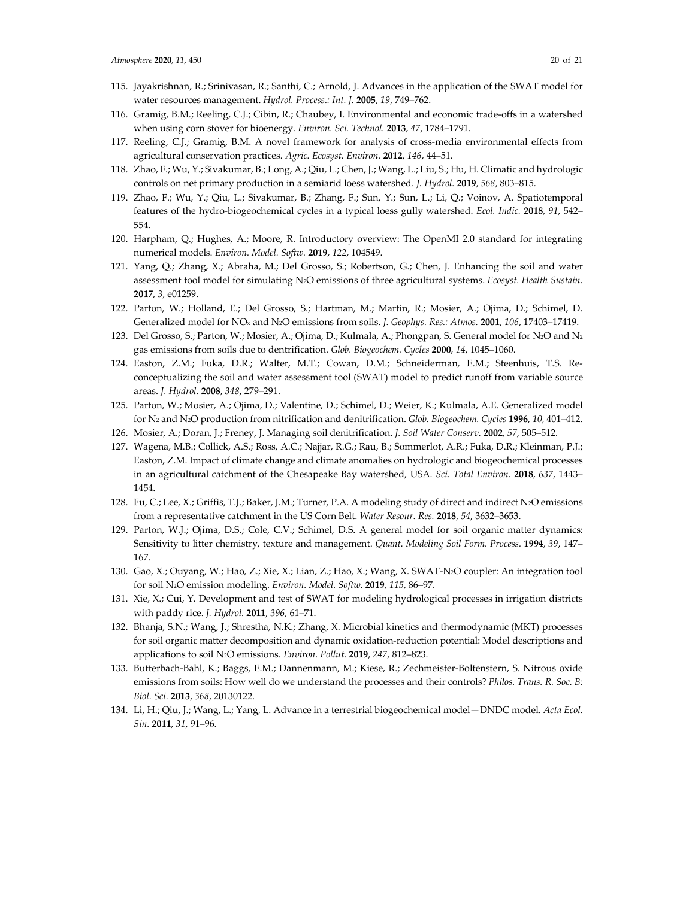- 115. Jayakrishnan, R.; Srinivasan, R.; Santhi, C.; Arnold, J. Advances in the application of the SWAT model for water resources management. *Hydrol. Process.: Int. J.* **2005**, *19*, 749–762.
- 116. Gramig, B.M.; Reeling, C.J.; Cibin, R.; Chaubey, I. Environmental and economic trade-offs in a watershed when using corn stover for bioenergy. *Environ. Sci. Technol.* **2013**, *47*, 1784–1791.
- 117. Reeling, C.J.; Gramig, B.M. A novel framework for analysis of cross-media environmental effects from agricultural conservation practices. *Agric. Ecosyst. Environ.* **2012**, *146*, 44–51.
- 118. Zhao, F.; Wu, Y.; Sivakumar, B.; Long, A.; Qiu, L.; Chen, J.; Wang, L.; Liu, S.; Hu, H. Climatic and hydrologic controls on net primary production in a semiarid loess watershed. *J. Hydrol.* **2019**, *568*, 803–815.
- 119. Zhao, F.; Wu, Y.; Qiu, L.; Sivakumar, B.; Zhang, F.; Sun, Y.; Sun, L.; Li, Q.; Voinov, A. Spatiotemporal features of the hydro-biogeochemical cycles in a typical loess gully watershed. *Ecol. Indic.* **2018**, *91*, 542– 554.
- 120. Harpham, Q.; Hughes, A.; Moore, R. Introductory overview: The OpenMI 2.0 standard for integrating numerical models. *Environ. Model. Softw.* **2019**, *122*, 104549.
- 121. Yang, Q.; Zhang, X.; Abraha, M.; Del Grosso, S.; Robertson, G.; Chen, J. Enhancing the soil and water assessment tool model for simulating N2O emissions of three agricultural systems. *Ecosyst. Health Sustain.*  **2017**, *3*, e01259.
- 122. Parton, W.; Holland, E.; Del Grosso, S.; Hartman, M.; Martin, R.; Mosier, A.; Ojima, D.; Schimel, D. Generalized model for NOx and N2O emissions from soils. *J. Geophys. Res.: Atmos.* **2001**, *106*, 17403–17419.
- 123. Del Grosso, S.; Parton, W.; Mosier, A.; Ojima, D.; Kulmala, A.; Phongpan, S. General model for N2O and N2 gas emissions from soils due to dentrification. *Glob. Biogeochem. Cycles* **2000**, *14*, 1045–1060.
- 124. Easton, Z.M.; Fuka, D.R.; Walter, M.T.; Cowan, D.M.; Schneiderman, E.M.; Steenhuis, T.S. Reconceptualizing the soil and water assessment tool (SWAT) model to predict runoff from variable source areas. *J. Hydrol.* **2008**, *348*, 279–291.
- 125. Parton, W.; Mosier, A.; Ojima, D.; Valentine, D.; Schimel, D.; Weier, K.; Kulmala, A.E. Generalized model for N2 and N2O production from nitrification and denitrification. *Glob. Biogeochem. Cycles* **1996**, *10*, 401–412.
- 126. Mosier, A.; Doran, J.; Freney, J. Managing soil denitrification. *J. Soil Water Conserv.* **2002**, *57*, 505–512.
- 127. Wagena, M.B.; Collick, A.S.; Ross, A.C.; Najjar, R.G.; Rau, B.; Sommerlot, A.R.; Fuka, D.R.; Kleinman, P.J.; Easton, Z.M. Impact of climate change and climate anomalies on hydrologic and biogeochemical processes in an agricultural catchment of the Chesapeake Bay watershed, USA. *Sci. Total Environ.* **2018**, *637*, 1443– 1454.
- 128. Fu, C.; Lee, X.; Griffis, T.J.; Baker, J.M.; Turner, P.A. A modeling study of direct and indirect N2O emissions from a representative catchment in the US Corn Belt. *Water Resour. Res.* **2018**, *54*, 3632–3653.
- 129. Parton, W.J.; Ojima, D.S.; Cole, C.V.; Schimel, D.S. A general model for soil organic matter dynamics: Sensitivity to litter chemistry, texture and management. *Quant. Modeling Soil Form. Process.* **1994**, *39*, 147– 167.
- 130. Gao, X.; Ouyang, W.; Hao, Z.; Xie, X.; Lian, Z.; Hao, X.; Wang, X. SWAT-N2O coupler: An integration tool for soil N2O emission modeling. *Environ. Model. Softw.* **2019**, *115*, 86–97.
- 131. Xie, X.; Cui, Y. Development and test of SWAT for modeling hydrological processes in irrigation districts with paddy rice. *J. Hydrol.* **2011**, *396*, 61–71.
- 132. Bhanja, S.N.; Wang, J.; Shrestha, N.K.; Zhang, X. Microbial kinetics and thermodynamic (MKT) processes for soil organic matter decomposition and dynamic oxidation-reduction potential: Model descriptions and applications to soil N2O emissions. *Environ. Pollut.* **2019**, *247*, 812–823.
- 133. Butterbach-Bahl, K.; Baggs, E.M.; Dannenmann, M.; Kiese, R.; Zechmeister-Boltenstern, S. Nitrous oxide emissions from soils: How well do we understand the processes and their controls? *Philos. Trans. R. Soc. B: Biol. Sci.* **2013**, *368*, 20130122.
- 134. Li, H.; Qiu, J.; Wang, L.; Yang, L. Advance in a terrestrial biogeochemical model—DNDC model. *Acta Ecol. Sin.* **2011**, *31*, 91–96.